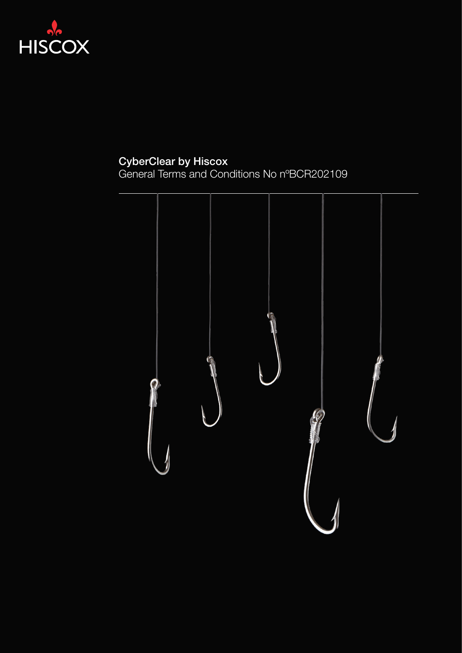

### CyberClear by Hiscox

General Terms and Conditions No nºBCR202109

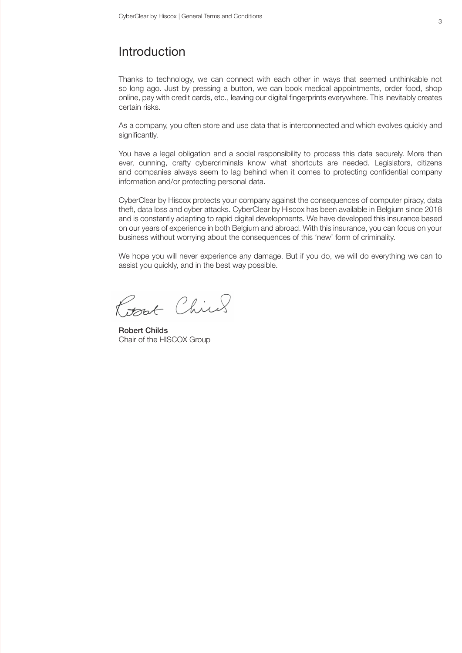### Introduction

Thanks to technology, we can connect with each other in ways that seemed unthinkable not so long ago. Just by pressing a button, we can book medical appointments, order food, shop online, pay with credit cards, etc., leaving our digital fingerprints everywhere. This inevitably creates certain risks.

As a company, you often store and use data that is interconnected and which evolves quickly and significantly.

You have a legal obligation and a social responsibility to process this data securely. More than ever, cunning, crafty cybercriminals know what shortcuts are needed. Legislators, citizens and companies always seem to lag behind when it comes to protecting confidential company information and/or protecting personal data.

CyberClear by Hiscox protects your company against the consequences of computer piracy, data theft, data loss and cyber attacks. CyberClear by Hiscox has been available in Belgium since 2018 and is constantly adapting to rapid digital developments. We have developed this insurance based on our years of experience in both Belgium and abroad. With this insurance, you can focus on your business without worrying about the consequences of this 'new' form of criminality.

We hope you will never experience any damage. But if you do, we will do everything we can to assist you quickly, and in the best way possible.

Rosset Chick

Robert Childs Chair of the HISCOX Group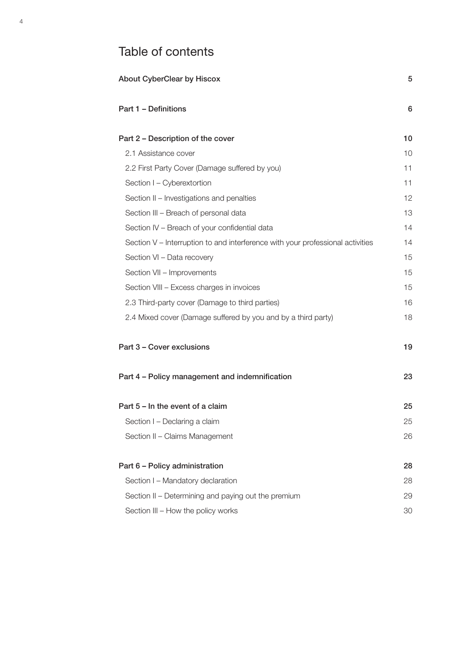# Table of contents

| <b>About CyberClear by Hiscox</b>                                              |    |
|--------------------------------------------------------------------------------|----|
| Part 1 - Definitions                                                           | 6  |
| Part 2 - Description of the cover                                              | 10 |
| 2.1 Assistance cover                                                           | 10 |
| 2.2 First Party Cover (Damage suffered by you)                                 | 11 |
| Section I - Cyberextortion                                                     | 11 |
| Section II - Investigations and penalties                                      | 12 |
| Section III - Breach of personal data                                          | 13 |
| Section IV - Breach of your confidential data                                  | 14 |
| Section V – Interruption to and interference with your professional activities | 14 |
| Section VI - Data recovery                                                     | 15 |
| Section VII - Improvements                                                     | 15 |
| Section VIII - Excess charges in invoices                                      | 15 |
| 2.3 Third-party cover (Damage to third parties)                                | 16 |
| 2.4 Mixed cover (Damage suffered by you and by a third party)                  | 18 |
| Part 3 - Cover exclusions                                                      | 19 |
| Part 4 - Policy management and indemnification                                 | 23 |
| Part 5 - In the event of a claim                                               | 25 |
| Section I - Declaring a claim                                                  | 25 |
| Section II - Claims Management                                                 | 26 |
| Part 6 - Policy administration                                                 | 28 |
| Section I - Mandatory declaration                                              | 28 |
| Section II - Determining and paying out the premium                            | 29 |
| Section III - How the policy works                                             | 30 |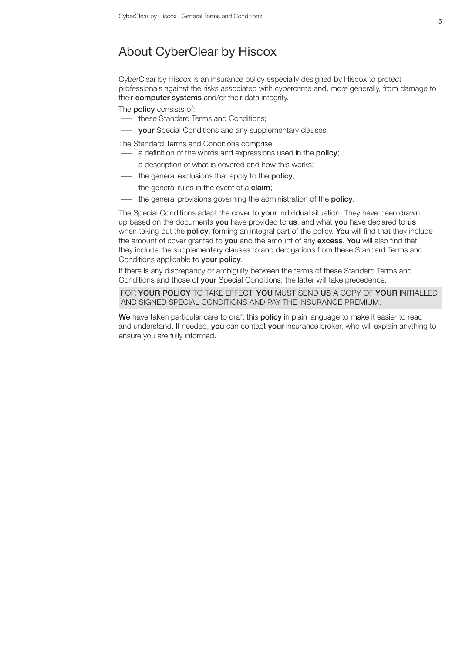## About CyberClear by Hiscox

CyberClear by Hiscox is an insurance policy especially designed by Hiscox to protect professionals against the risks associated with cybercrime and, more generally, from damage to their computer systems and/or their data integrity.

The **policy** consists of:

- these Standard Terms and Conditions;
- **Wour** Special Conditions and any supplementary clauses.

The Standard Terms and Conditions comprise:

- a definition of the words and expressions used in the **policy**;
- a description of what is covered and how this works;
- the general exclusions that apply to the **policy**;
- the general rules in the event of a **claim**;
- the general provisions governing the administration of the policy.

The Special Conditions adapt the cover to **your** individual situation. They have been drawn up based on the documents you have provided to us, and what you have declared to us when taking out the policy, forming an integral part of the policy. You will find that they include the amount of cover granted to you and the amount of any excess. You will also find that they include the supplementary clauses to and derogations from these Standard Terms and Conditions applicable to your policy.

If there is any discrepancy or ambiguity between the terms of these Standard Terms and Conditions and those of your Special Conditions, the latter will take precedence.

FOR YOUR POLICY TO TAKE EFFECT. YOU MUST SEND US A COPY OF YOUR INITIALLED AND SIGNED SPECIAL CONDITIONS AND PAY THE INSURANCE PREMIUM.

We have taken particular care to draft this policy in plain language to make it easier to read and understand. If needed, you can contact your insurance broker, who will explain anything to ensure you are fully informed.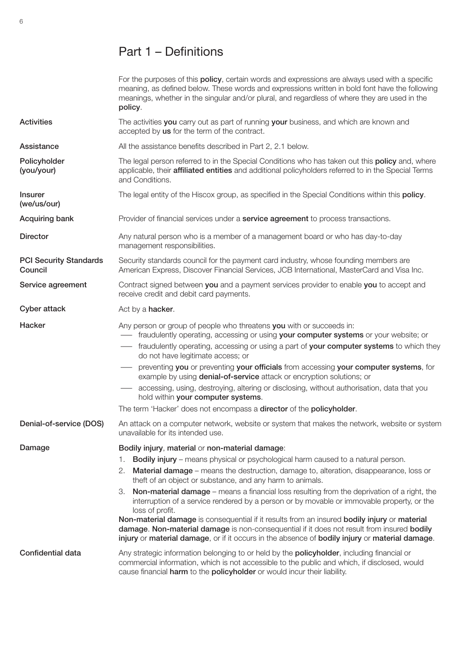# Part 1 – Definitions

|                                          | For the purposes of this <b>policy</b> , certain words and expressions are always used with a specific<br>meaning, as defined below. These words and expressions written in bold font have the following<br>meanings, whether in the singular and/or plural, and regardless of where they are used in the<br>policy. |
|------------------------------------------|----------------------------------------------------------------------------------------------------------------------------------------------------------------------------------------------------------------------------------------------------------------------------------------------------------------------|
| <b>Activities</b>                        | The activities you carry out as part of running your business, and which are known and<br>accepted by us for the term of the contract.                                                                                                                                                                               |
| Assistance                               | All the assistance benefits described in Part 2, 2.1 below.                                                                                                                                                                                                                                                          |
| Policyholder<br>(you/your)               | The legal person referred to in the Special Conditions who has taken out this <b>policy</b> and, where<br>applicable, their affiliated entities and additional policyholders referred to in the Special Terms<br>and Conditions.                                                                                     |
| <b>Insurer</b><br>(we/us/our)            | The legal entity of the Hiscox group, as specified in the Special Conditions within this policy.                                                                                                                                                                                                                     |
| Acquiring bank                           | Provider of financial services under a <b>service agreement</b> to process transactions.                                                                                                                                                                                                                             |
| <b>Director</b>                          | Any natural person who is a member of a management board or who has day-to-day<br>management responsibilities.                                                                                                                                                                                                       |
| <b>PCI Security Standards</b><br>Council | Security standards council for the payment card industry, whose founding members are<br>American Express, Discover Financial Services, JCB International, MasterCard and Visa Inc.                                                                                                                                   |
| Service agreement                        | Contract signed between you and a payment services provider to enable you to accept and<br>receive credit and debit card payments.                                                                                                                                                                                   |
| Cyber attack                             | Act by a hacker.                                                                                                                                                                                                                                                                                                     |
| Hacker                                   | Any person or group of people who threatens you with or succeeds in:<br>- fraudulently operating, accessing or using your computer systems or your website; or                                                                                                                                                       |
|                                          | - fraudulently operating, accessing or using a part of your computer systems to which they<br>do not have legitimate access; or                                                                                                                                                                                      |
|                                          | preventing you or preventing your officials from accessing your computer systems, for<br>example by using <b>denial-of-service</b> attack or encryption solutions; or                                                                                                                                                |
|                                          | - accessing, using, destroying, altering or disclosing, without authorisation, data that you<br>hold within your computer systems.                                                                                                                                                                                   |
|                                          | The term 'Hacker' does not encompass a director of the policyholder.                                                                                                                                                                                                                                                 |
| Denial-of-service (DOS)                  | An attack on a computer network, website or system that makes the network, website or system<br>unavailable for its intended use.                                                                                                                                                                                    |
| Damage                                   | Bodily injury, material or non-material damage:                                                                                                                                                                                                                                                                      |
|                                          | Bodily injury - means physical or psychological harm caused to a natural person.<br>1.                                                                                                                                                                                                                               |
|                                          | 2. Material damage - means the destruction, damage to, alteration, disappearance, loss or<br>theft of an object or substance, and any harm to animals.                                                                                                                                                               |
|                                          | Non-material damage – means a financial loss resulting from the deprivation of a right, the<br>З.<br>interruption of a service rendered by a person or by movable or immovable property, or the<br>loss of profit.                                                                                                   |
|                                          | Non-material damage is consequential if it results from an insured bodily injury or material<br>damage. Non-material damage is non-consequential if it does not result from insured bodily<br>injury or material damage, or if it occurs in the absence of bodily injury or material damage.                         |
| Confidential data                        | Any strategic information belonging to or held by the <b>policyholder</b> , including financial or<br>commercial information, which is not accessible to the public and which, if disclosed, would<br>cause financial harm to the policyholder or would incur their liability.                                       |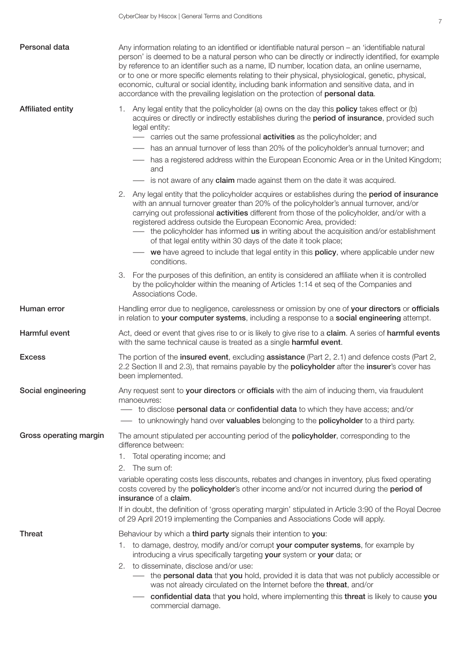| Personal data            | Any information relating to an identified or identifiable natural person - an 'identifiable natural<br>person' is deemed to be a natural person who can be directly or indirectly identified, for example<br>by reference to an identifier such as a name, ID number, location data, an online username,<br>or to one or more specific elements relating to their physical, physiological, genetic, physical,<br>economic, cultural or social identity, including bank information and sensitive data, and in<br>accordance with the prevailing legislation on the protection of personal data. |
|--------------------------|-------------------------------------------------------------------------------------------------------------------------------------------------------------------------------------------------------------------------------------------------------------------------------------------------------------------------------------------------------------------------------------------------------------------------------------------------------------------------------------------------------------------------------------------------------------------------------------------------|
| <b>Affiliated entity</b> | Any legal entity that the policyholder (a) owns on the day this <b>policy</b> takes effect or (b)<br>1.<br>acquires or directly or indirectly establishes during the period of insurance, provided such<br>legal entity:<br>carries out the same professional <b>activities</b> as the policyholder; and                                                                                                                                                                                                                                                                                        |
|                          | - has an annual turnover of less than 20% of the policyholder's annual turnover; and                                                                                                                                                                                                                                                                                                                                                                                                                                                                                                            |
|                          | has a registered address within the European Economic Area or in the United Kingdom;<br>and                                                                                                                                                                                                                                                                                                                                                                                                                                                                                                     |
|                          | is not aware of any claim made against them on the date it was acquired.                                                                                                                                                                                                                                                                                                                                                                                                                                                                                                                        |
|                          | 2.<br>Any legal entity that the policyholder acquires or establishes during the <b>period of insurance</b><br>with an annual turnover greater than 20% of the policyholder's annual turnover, and/or<br>carrying out professional <b>activities</b> different from those of the policyholder, and/or with a<br>registered address outside the European Economic Area, provided:<br>the policyholder has informed us in writing about the acquisition and/or establishment<br>of that legal entity within 30 days of the date it took place;                                                     |
|                          | we have agreed to include that legal entity in this <b>policy</b> , where applicable under new<br>conditions.                                                                                                                                                                                                                                                                                                                                                                                                                                                                                   |
|                          | For the purposes of this definition, an entity is considered an affiliate when it is controlled<br>З.<br>by the policyholder within the meaning of Articles 1:14 et seq of the Companies and<br>Associations Code.                                                                                                                                                                                                                                                                                                                                                                              |
| Human error              | Handling error due to negligence, carelessness or omission by one of your directors or officials<br>in relation to your computer systems, including a response to a social engineering attempt.                                                                                                                                                                                                                                                                                                                                                                                                 |
| Harmful event            | Act, deed or event that gives rise to or is likely to give rise to a claim. A series of harmful events<br>with the same technical cause is treated as a single harmful event.                                                                                                                                                                                                                                                                                                                                                                                                                   |
| <b>Excess</b>            | The portion of the insured event, excluding assistance (Part 2, 2.1) and defence costs (Part 2,<br>2.2 Section II and 2.3), that remains payable by the <b>policyholder</b> after the insurer's cover has<br>been implemented.                                                                                                                                                                                                                                                                                                                                                                  |
| Social engineering       | Any request sent to your directors or officials with the aim of inducing them, via fraudulent<br>manoeuvres:                                                                                                                                                                                                                                                                                                                                                                                                                                                                                    |
|                          | to disclose <b>personal data</b> or <b>confidential data</b> to which they have access; and/or<br>to unknowingly hand over valuables belonging to the policyholder to a third party.                                                                                                                                                                                                                                                                                                                                                                                                            |
| Gross operating margin   | The amount stipulated per accounting period of the <b>policyholder</b> , corresponding to the                                                                                                                                                                                                                                                                                                                                                                                                                                                                                                   |
|                          | difference between:                                                                                                                                                                                                                                                                                                                                                                                                                                                                                                                                                                             |
|                          | 1. Total operating income; and                                                                                                                                                                                                                                                                                                                                                                                                                                                                                                                                                                  |
|                          | 2. The sum of:                                                                                                                                                                                                                                                                                                                                                                                                                                                                                                                                                                                  |
|                          | variable operating costs less discounts, rebates and changes in inventory, plus fixed operating<br>costs covered by the policyholder's other income and/or not incurred during the period of<br>insurance of a claim.                                                                                                                                                                                                                                                                                                                                                                           |
|                          | If in doubt, the definition of 'gross operating margin' stipulated in Article 3:90 of the Royal Decree<br>of 29 April 2019 implementing the Companies and Associations Code will apply.                                                                                                                                                                                                                                                                                                                                                                                                         |
| <b>Threat</b>            | Behaviour by which a third party signals their intention to you:                                                                                                                                                                                                                                                                                                                                                                                                                                                                                                                                |
|                          | 1. to damage, destroy, modify and/or corrupt your computer systems, for example by<br>introducing a virus specifically targeting your system or your data; or                                                                                                                                                                                                                                                                                                                                                                                                                                   |
|                          | 2. to disseminate, disclose and/or use:<br>- the <b>personal data</b> that you hold, provided it is data that was not publicly accessible or<br>was not already circulated on the Internet before the threat, and/or                                                                                                                                                                                                                                                                                                                                                                            |
|                          | confidential data that you hold, where implementing this threat is likely to cause you<br>commercial damage.                                                                                                                                                                                                                                                                                                                                                                                                                                                                                    |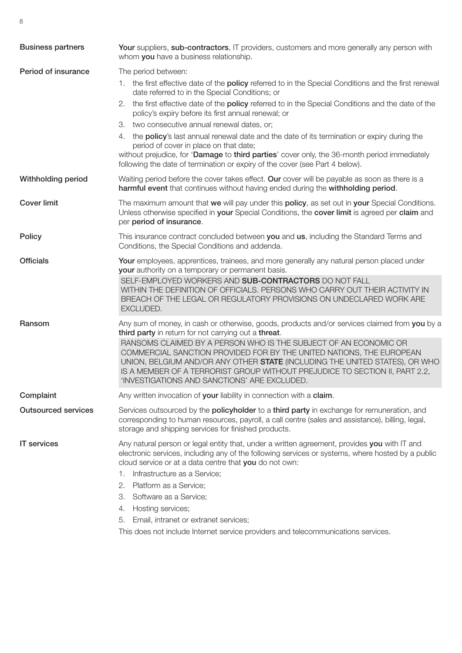| <b>Business partners</b>   | Your suppliers, sub-contractors, IT providers, customers and more generally any person with<br>whom you have a business relationship.                                                                                                                                                                                                                  |
|----------------------------|--------------------------------------------------------------------------------------------------------------------------------------------------------------------------------------------------------------------------------------------------------------------------------------------------------------------------------------------------------|
| Period of insurance        | The period between:                                                                                                                                                                                                                                                                                                                                    |
|                            | 1. the first effective date of the <b>policy</b> referred to in the Special Conditions and the first renewal<br>date referred to in the Special Conditions; or                                                                                                                                                                                         |
|                            | 2. the first effective date of the policy referred to in the Special Conditions and the date of the<br>policy's expiry before its first annual renewal; or                                                                                                                                                                                             |
|                            | 3. two consecutive annual renewal dates, or;                                                                                                                                                                                                                                                                                                           |
|                            | 4. the policy's last annual renewal date and the date of its termination or expiry during the<br>period of cover in place on that date;<br>without prejudice, for 'Damage to third parties' cover only, the 36-month period immediately<br>following the date of termination or expiry of the cover (see Part 4 below).                                |
| Withholding period         | Waiting period before the cover takes effect. Our cover will be payable as soon as there is a<br>harmful event that continues without having ended during the withholding period.                                                                                                                                                                      |
| <b>Cover limit</b>         | The maximum amount that we will pay under this policy, as set out in your Special Conditions.<br>Unless otherwise specified in your Special Conditions, the cover limit is agreed per claim and<br>per period of insurance.                                                                                                                            |
| <b>Policy</b>              | This insurance contract concluded between you and us, including the Standard Terms and<br>Conditions, the Special Conditions and addenda.                                                                                                                                                                                                              |
| <b>Officials</b>           | Your employees, apprentices, trainees, and more generally any natural person placed under<br>your authority on a temporary or permanent basis.                                                                                                                                                                                                         |
|                            | SELF-EMPLOYED WORKERS AND SUB-CONTRACTORS DO NOT FALL<br>WITHIN THE DEFINITION OF OFFICIALS. PERSONS WHO CARRY OUT THEIR ACTIVITY IN<br>BREACH OF THE LEGAL OR REGULATORY PROVISIONS ON UNDECLARED WORK ARE<br>EXCLUDED.                                                                                                                               |
| Ransom                     | Any sum of money, in cash or otherwise, goods, products and/or services claimed from you by a<br>third party in return for not carrying out a threat.                                                                                                                                                                                                  |
|                            | RANSOMS CLAIMED BY A PERSON WHO IS THE SUBJECT OF AN ECONOMIC OR<br>COMMERCIAL SANCTION PROVIDED FOR BY THE UNITED NATIONS, THE EUROPEAN<br>UNION, BELGIUM AND/OR ANY OTHER STATE (INCLUDING THE UNITED STATES), OR WHO<br>IS A MEMBER OF A TERRORIST GROUP WITHOUT PREJUDICE TO SECTION II, PART 2.2,<br>'INVESTIGATIONS AND SANCTIONS' ARE EXCLUDED. |
| Complaint                  | Any written invocation of your liability in connection with a claim.                                                                                                                                                                                                                                                                                   |
| <b>Outsourced services</b> | Services outsourced by the <b>policyholder</b> to a third party in exchange for remuneration, and<br>corresponding to human resources, payroll, a call centre (sales and assistance), billing, legal,<br>storage and shipping services for finished products.                                                                                          |
| <b>IT</b> services         | Any natural person or legal entity that, under a written agreement, provides you with IT and<br>electronic services, including any of the following services or systems, where hosted by a public<br>cloud service or at a data centre that you do not own:                                                                                            |
|                            | Infrastructure as a Service;<br>1.                                                                                                                                                                                                                                                                                                                     |
|                            | 2.<br>Platform as a Service;                                                                                                                                                                                                                                                                                                                           |
|                            | З.<br>Software as a Service;                                                                                                                                                                                                                                                                                                                           |
|                            | Hosting services;<br>4.                                                                                                                                                                                                                                                                                                                                |
|                            | Email, intranet or extranet services;<br>5.                                                                                                                                                                                                                                                                                                            |
|                            | This does not include Internet service providers and telecommunications services.                                                                                                                                                                                                                                                                      |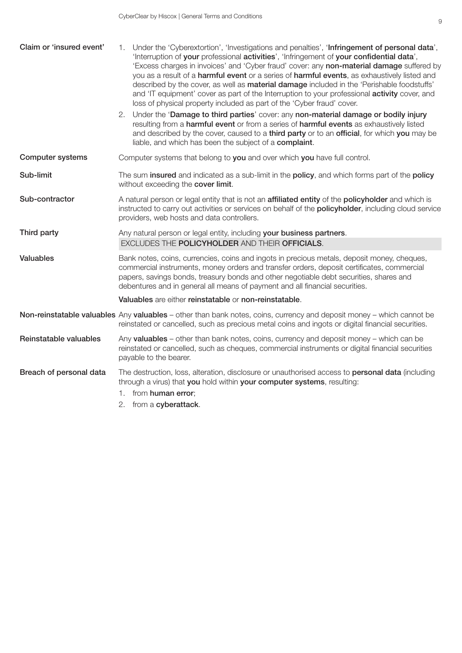| Claim or 'insured event' | 1. Under the 'Cyberextortion', 'Investigations and penalties', 'Infringement of personal data',<br>'Interruption of your professional activities', 'Infringement of your confidential data',<br>'Excess charges in invoices' and 'Cyber fraud' cover: any non-material damage suffered by<br>you as a result of a harmful event or a series of harmful events, as exhaustively listed and<br>described by the cover, as well as <b>material damage</b> included in the 'Perishable foodstuffs'<br>and 'IT equipment' cover as part of the Interruption to your professional activity cover, and<br>loss of physical property included as part of the 'Cyber fraud' cover. |
|--------------------------|---------------------------------------------------------------------------------------------------------------------------------------------------------------------------------------------------------------------------------------------------------------------------------------------------------------------------------------------------------------------------------------------------------------------------------------------------------------------------------------------------------------------------------------------------------------------------------------------------------------------------------------------------------------------------|
|                          | Under the 'Damage to third parties' cover: any non-material damage or bodily injury<br>2.<br>resulting from a harmful event or from a series of harmful events as exhaustively listed<br>and described by the cover, caused to a third party or to an official, for which you may be<br>liable, and which has been the subject of a complaint.                                                                                                                                                                                                                                                                                                                            |
| <b>Computer systems</b>  | Computer systems that belong to you and over which you have full control.                                                                                                                                                                                                                                                                                                                                                                                                                                                                                                                                                                                                 |
| Sub-limit                | The sum insured and indicated as a sub-limit in the policy, and which forms part of the policy<br>without exceeding the cover limit.                                                                                                                                                                                                                                                                                                                                                                                                                                                                                                                                      |
| Sub-contractor           | A natural person or legal entity that is not an affiliated entity of the policyholder and which is<br>instructed to carry out activities or services on behalf of the policyholder, including cloud service<br>providers, web hosts and data controllers.                                                                                                                                                                                                                                                                                                                                                                                                                 |
| Third party              | Any natural person or legal entity, including your business partners.                                                                                                                                                                                                                                                                                                                                                                                                                                                                                                                                                                                                     |
|                          | EXCLUDES THE POLICYHOLDER AND THEIR OFFICIALS.                                                                                                                                                                                                                                                                                                                                                                                                                                                                                                                                                                                                                            |
| <b>Valuables</b>         | Bank notes, coins, currencies, coins and ingots in precious metals, deposit money, cheques,<br>commercial instruments, money orders and transfer orders, deposit certificates, commercial<br>papers, savings bonds, treasury bonds and other negotiable debt securities, shares and<br>debentures and in general all means of payment and all financial securities.                                                                                                                                                                                                                                                                                                       |
|                          | Valuables are either reinstatable or non-reinstatable.                                                                                                                                                                                                                                                                                                                                                                                                                                                                                                                                                                                                                    |
|                          | Non-reinstatable valuables Any valuables - other than bank notes, coins, currency and deposit money - which cannot be<br>reinstated or cancelled, such as precious metal coins and ingots or digital financial securities.                                                                                                                                                                                                                                                                                                                                                                                                                                                |
| Reinstatable valuables   | Any valuables - other than bank notes, coins, currency and deposit money - which can be<br>reinstated or cancelled, such as cheques, commercial instruments or digital financial securities<br>payable to the bearer.                                                                                                                                                                                                                                                                                                                                                                                                                                                     |
| Breach of personal data  | The destruction, loss, alteration, disclosure or unauthorised access to personal data (including<br>through a virus) that you hold within your computer systems, resulting:                                                                                                                                                                                                                                                                                                                                                                                                                                                                                               |
|                          | 1. from human error;                                                                                                                                                                                                                                                                                                                                                                                                                                                                                                                                                                                                                                                      |
|                          | 2. from a cyberattack.                                                                                                                                                                                                                                                                                                                                                                                                                                                                                                                                                                                                                                                    |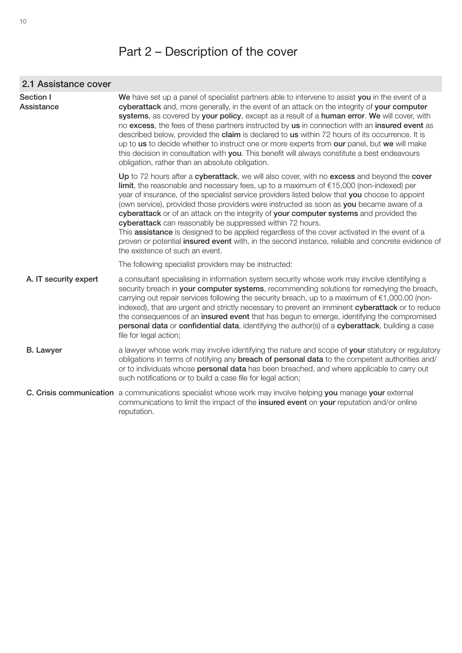# Part 2 – Description of the cover

| 2.1 Assistance cover    |                                                                                                                                                                                                                                                                                                                                                                                                                                                                                                                                                                                                                                                                                                                                                                                              |  |
|-------------------------|----------------------------------------------------------------------------------------------------------------------------------------------------------------------------------------------------------------------------------------------------------------------------------------------------------------------------------------------------------------------------------------------------------------------------------------------------------------------------------------------------------------------------------------------------------------------------------------------------------------------------------------------------------------------------------------------------------------------------------------------------------------------------------------------|--|
| Section I<br>Assistance | We have set up a panel of specialist partners able to intervene to assist you in the event of a<br>cyberattack and, more generally, in the event of an attack on the integrity of your computer<br>systems, as covered by your policy, except as a result of a human error. We will cover, with<br>no excess, the fees of these partners instructed by us in connection with an insured event as<br>described below, provided the claim is declared to us within 72 hours of its occurrence. It is<br>up to us to decide whether to instruct one or more experts from our panel, but we will make<br>this decision in consultation with you. This benefit will always constitute a best endeavours<br>obligation, rather than an absolute obligation.                                        |  |
|                         | Up to 72 hours after a cyberattack, we will also cover, with no excess and beyond the cover<br>limit, the reasonable and necessary fees, up to a maximum of $£15,000$ (non-indexed) per<br>year of insurance, of the specialist service providers listed below that you choose to appoint<br>(own service), provided those providers were instructed as soon as you became aware of a<br>cyberattack or of an attack on the integrity of your computer systems and provided the<br>cyberattack can reasonably be suppressed within 72 hours.<br>This <b>assistance</b> is designed to be applied regardless of the cover activated in the event of a<br>proven or potential insured event with, in the second instance, reliable and concrete evidence of<br>the existence of such an event. |  |
|                         | The following specialist providers may be instructed:                                                                                                                                                                                                                                                                                                                                                                                                                                                                                                                                                                                                                                                                                                                                        |  |
| A. IT security expert   | a consultant specialising in information system security whose work may involve identifying a<br>security breach in your computer systems, recommending solutions for remedying the breach,<br>carrying out repair services following the security breach, up to a maximum of $€1,000.00$ (non-<br>indexed), that are urgent and strictly necessary to prevent an imminent cyberattack or to reduce<br>the consequences of an insured event that has begun to emerge, identifying the compromised<br>personal data or confidential data, identifying the author(s) of a cyberattack, building a case<br>file for legal action;                                                                                                                                                               |  |
| <b>B.</b> Lawyer        | a lawyer whose work may involve identifying the nature and scope of your statutory or regulatory<br>obligations in terms of notifying any <b>breach of personal data</b> to the competent authorities and/<br>or to individuals whose personal data has been breached, and where applicable to carry out<br>such notifications or to build a case file for legal action;                                                                                                                                                                                                                                                                                                                                                                                                                     |  |
|                         | C. Crisis communication a communications specialist whose work may involve helping you manage your external<br>communications to limit the impact of the insured event on your reputation and/or online<br>reputation.                                                                                                                                                                                                                                                                                                                                                                                                                                                                                                                                                                       |  |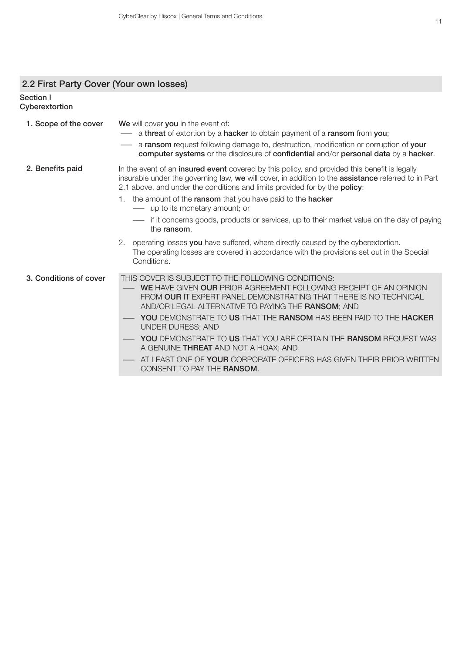### 2.2 First Party Cover (Your own losses)

#### Section I Cyberextortion

| 1. Scope of the cover  | We will cover you in the event of:<br>a threat of extortion by a hacker to obtain payment of a ransom from you;<br>a ransom request following damage to, destruction, modification or corruption of your<br>computer systems or the disclosure of confidential and/or personal data by a hacker.                                                                                                                                                                                                                                                                                                      |
|------------------------|-------------------------------------------------------------------------------------------------------------------------------------------------------------------------------------------------------------------------------------------------------------------------------------------------------------------------------------------------------------------------------------------------------------------------------------------------------------------------------------------------------------------------------------------------------------------------------------------------------|
| 2. Benefits paid       | In the event of an insured event covered by this policy, and provided this benefit is legally<br>insurable under the governing law, we will cover, in addition to the assistance referred to in Part<br>2.1 above, and under the conditions and limits provided for by the <b>policy</b> :<br>the amount of the ransom that you have paid to the hacker<br>1.<br>- up to its monetary amount; or<br>- if it concerns goods, products or services, up to their market value on the day of paying<br>the ransom.<br>2. operating losses you have suffered, where directly caused by the cyberextortion. |
|                        | The operating losses are covered in accordance with the provisions set out in the Special<br>Conditions.                                                                                                                                                                                                                                                                                                                                                                                                                                                                                              |
| 3. Conditions of cover | THIS COVER IS SUBJECT TO THE FOLLOWING CONDITIONS:<br><b>WE HAVE GIVEN OUR PRIOR AGREEMENT FOLLOWING RECEIPT OF AN OPINION</b><br>FROM OUR IT EXPERT PANEL DEMONSTRATING THAT THERE IS NO TECHNICAL<br>AND/OR LEGAL ALTERNATIVE TO PAYING THE RANSOM; AND<br><b>YOU</b> DEMONSTRATE TO US THAT THE <b>RANSOM</b> HAS BEEN PAID TO THE <b>HACKER</b><br>UNDER DURESS; AND                                                                                                                                                                                                                              |
|                        | <b>YOU</b> DEMONSTRATE TO US THAT YOU ARE CERTAIN THE RANSOM REQUEST WAS<br>A GENUINE THREAT AND NOT A HOAX; AND                                                                                                                                                                                                                                                                                                                                                                                                                                                                                      |
|                        | AT LEAST ONE OF YOUR CORPORATE OFFICERS HAS GIVEN THEIR PRIOR WRITTEN<br>CONSENT TO PAY THE RANSOM.                                                                                                                                                                                                                                                                                                                                                                                                                                                                                                   |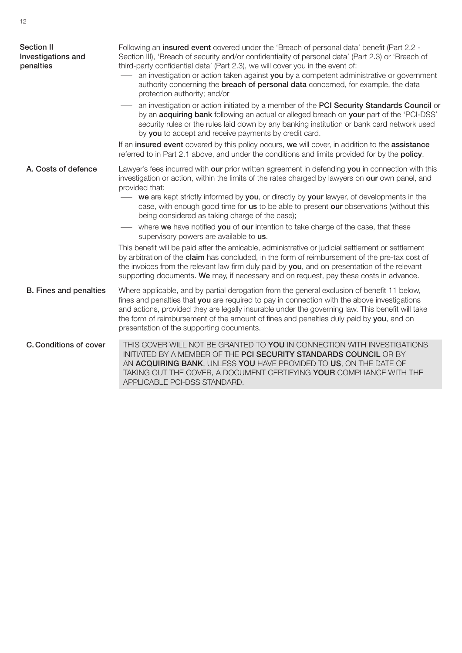| <b>Section II</b><br>Investigations and<br>penalties | Following an insured event covered under the 'Breach of personal data' benefit (Part 2.2 -<br>Section III), 'Breach of security and/or confidentiality of personal data' (Part 2.3) or 'Breach of<br>third-party confidential data' (Part 2.3), we will cover you in the event of:<br>an investigation or action taken against you by a competent administrative or government<br>authority concerning the <b>breach of personal data</b> concerned, for example, the data<br>protection authority; and/or<br>an investigation or action initiated by a member of the PCI Security Standards Council or<br>by an acquiring bank following an actual or alleged breach on your part of the 'PCI-DSS'<br>security rules or the rules laid down by any banking institution or bank card network used<br>by you to accept and receive payments by credit card.<br>If an insured event covered by this policy occurs, we will cover, in addition to the assistance<br>referred to in Part 2.1 above, and under the conditions and limits provided for by the policy. |
|------------------------------------------------------|-----------------------------------------------------------------------------------------------------------------------------------------------------------------------------------------------------------------------------------------------------------------------------------------------------------------------------------------------------------------------------------------------------------------------------------------------------------------------------------------------------------------------------------------------------------------------------------------------------------------------------------------------------------------------------------------------------------------------------------------------------------------------------------------------------------------------------------------------------------------------------------------------------------------------------------------------------------------------------------------------------------------------------------------------------------------|
| A. Costs of defence                                  | Lawyer's fees incurred with our prior written agreement in defending you in connection with this<br>investigation or action, within the limits of the rates charged by lawyers on our own panel, and<br>provided that:<br>we are kept strictly informed by you, or directly by your lawyer, of developments in the<br>case, with enough good time for us to be able to present our observations (without this<br>being considered as taking charge of the case);<br>where we have notified you of our intention to take charge of the case, that these<br>supervisory powers are available to us.<br>This benefit will be paid after the amicable, administrative or judicial settlement or settlement<br>by arbitration of the claim has concluded, in the form of reimbursement of the pre-tax cost of<br>the invoices from the relevant law firm duly paid by you, and on presentation of the relevant<br>supporting documents. We may, if necessary and on request, pay these costs in advance.                                                             |
| <b>B.</b> Fines and penalties                        | Where applicable, and by partial derogation from the general exclusion of benefit 11 below,<br>fines and penalties that you are required to pay in connection with the above investigations<br>and actions, provided they are legally insurable under the governing law. This benefit will take<br>the form of reimbursement of the amount of fines and penalties duly paid by you, and on<br>presentation of the supporting documents.                                                                                                                                                                                                                                                                                                                                                                                                                                                                                                                                                                                                                         |
| <b>C. Conditions of cover</b>                        | THIS COVER WILL NOT BE GRANTED TO YOU IN CONNECTION WITH INVESTIGATIONS<br>INITIATED BY A MEMBER OF THE PCI SECURITY STANDARDS COUNCIL OR BY<br>AN ACQUIRING BANK, UNLESS YOU HAVE PROVIDED TO US, ON THE DATE OF<br>TAKING OUT THE COVER, A DOCUMENT CERTIFYING YOUR COMPLIANCE WITH THE<br>APPLICABLE PCI-DSS STANDARD.                                                                                                                                                                                                                                                                                                                                                                                                                                                                                                                                                                                                                                                                                                                                       |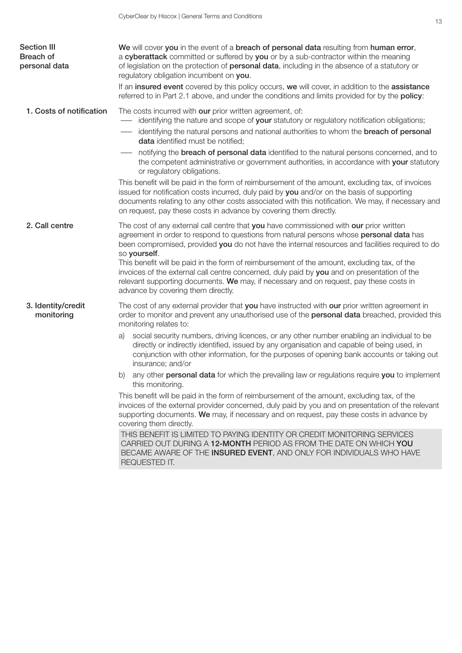| <b>Section III</b><br><b>Breach of</b><br>personal data | We will cover you in the event of a breach of personal data resulting from human error,<br>a cyberattack committed or suffered by you or by a sub-contractor within the meaning<br>of legislation on the protection of <b>personal data</b> , including in the absence of a statutory or<br>regulatory obligation incumbent on you.                                      |
|---------------------------------------------------------|--------------------------------------------------------------------------------------------------------------------------------------------------------------------------------------------------------------------------------------------------------------------------------------------------------------------------------------------------------------------------|
|                                                         | If an insured event covered by this policy occurs, we will cover, in addition to the assistance<br>referred to in Part 2.1 above, and under the conditions and limits provided for by the policy:                                                                                                                                                                        |
| 1. Costs of notification                                | The costs incurred with our prior written agreement, of:<br>identifying the nature and scope of your statutory or regulatory notification obligations;                                                                                                                                                                                                                   |
|                                                         | identifying the natural persons and national authorities to whom the breach of personal<br>data identified must be notified;                                                                                                                                                                                                                                             |
|                                                         | notifying the <b>breach of personal data</b> identified to the natural persons concerned, and to<br>the competent administrative or government authorities, in accordance with your statutory<br>or regulatory obligations.                                                                                                                                              |
|                                                         | This benefit will be paid in the form of reimbursement of the amount, excluding tax, of invoices<br>issued for notification costs incurred, duly paid by you and/or on the basis of supporting<br>documents relating to any other costs associated with this notification. We may, if necessary and<br>on request, pay these costs in advance by covering them directly. |
| 2. Call centre                                          | The cost of any external call centre that you have commissioned with our prior written<br>agreement in order to respond to questions from natural persons whose personal data has<br>been compromised, provided you do not have the internal resources and facilities required to do<br>so yourself.                                                                     |
|                                                         | This benefit will be paid in the form of reimbursement of the amount, excluding tax, of the<br>invoices of the external call centre concerned, duly paid by you and on presentation of the<br>relevant supporting documents. We may, if necessary and on request, pay these costs in<br>advance by covering them directly.                                               |
| 3. Identity/credit<br>monitoring                        | The cost of any external provider that you have instructed with our prior written agreement in<br>order to monitor and prevent any unauthorised use of the personal data breached, provided this<br>monitoring relates to:                                                                                                                                               |
|                                                         | social security numbers, driving licences, or any other number enabling an individual to be<br>a)<br>directly or indirectly identified, issued by any organisation and capable of being used, in<br>conjunction with other information, for the purposes of opening bank accounts or taking out<br>insurance; and/or                                                     |
|                                                         | any other personal data for which the prevailing law or regulations require you to implement<br>b)<br>this monitoring.                                                                                                                                                                                                                                                   |
|                                                         | This benefit will be paid in the form of reimbursement of the amount, excluding tax, of the<br>invoices of the external provider concerned, duly paid by you and on presentation of the relevant<br>supporting documents. We may, if necessary and on request, pay these costs in advance by<br>covering them directly.                                                  |
|                                                         | THIS BENEFIT IS LIMITED TO PAYING IDENTITY OR CREDIT MONITORING SERVICES<br>CARRIED OUT DURING A 12-MONTH PERIOD AS FROM THE DATE ON WHICH YOU<br>BECAME AWARE OF THE INSURED EVENT, AND ONLY FOR INDIVIDUALS WHO HAVE<br>REQUESTED IT.                                                                                                                                  |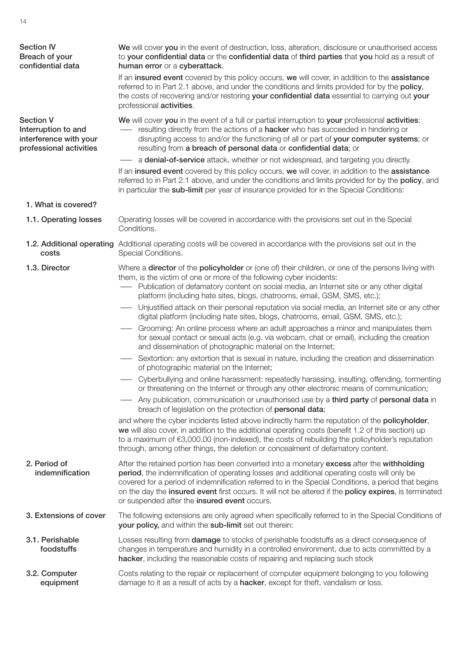| <b>Section IV</b><br>Breach of your<br>confidential data                                     | We will cover you in the event of destruction, loss, alteration, disclosure or unauthorised access<br>to your confidential data or the confidential data of third parties that you hold as a result of<br>human error or a cyberattack.                                                                                                                                                                                                                                                                                                                                                                                                                                                                                                                                                                                                                                                                                                                                                                                                                                                                                                                                                                                                                                                                                                                                                                                                                                                                                                                                                                                                                                                       |
|----------------------------------------------------------------------------------------------|-----------------------------------------------------------------------------------------------------------------------------------------------------------------------------------------------------------------------------------------------------------------------------------------------------------------------------------------------------------------------------------------------------------------------------------------------------------------------------------------------------------------------------------------------------------------------------------------------------------------------------------------------------------------------------------------------------------------------------------------------------------------------------------------------------------------------------------------------------------------------------------------------------------------------------------------------------------------------------------------------------------------------------------------------------------------------------------------------------------------------------------------------------------------------------------------------------------------------------------------------------------------------------------------------------------------------------------------------------------------------------------------------------------------------------------------------------------------------------------------------------------------------------------------------------------------------------------------------------------------------------------------------------------------------------------------------|
|                                                                                              | If an insured event covered by this policy occurs, we will cover, in addition to the assistance<br>referred to in Part 2.1 above, and under the conditions and limits provided for by the policy,<br>the costs of recovering and/or restoring your confidential data essential to carrying out your<br>professional activities.                                                                                                                                                                                                                                                                                                                                                                                                                                                                                                                                                                                                                                                                                                                                                                                                                                                                                                                                                                                                                                                                                                                                                                                                                                                                                                                                                               |
| <b>Section V</b><br>Interruption to and<br>interference with your<br>professional activities | We will cover you in the event of a full or partial interruption to your professional activities:<br>resulting directly from the actions of a <b>hacker</b> who has succeeded in hindering or<br>disrupting access to and/or the functioning of all or part of your computer systems; or<br>resulting from a breach of personal data or confidential data; or                                                                                                                                                                                                                                                                                                                                                                                                                                                                                                                                                                                                                                                                                                                                                                                                                                                                                                                                                                                                                                                                                                                                                                                                                                                                                                                                 |
|                                                                                              | a denial-of-service attack, whether or not widespread, and targeting you directly.                                                                                                                                                                                                                                                                                                                                                                                                                                                                                                                                                                                                                                                                                                                                                                                                                                                                                                                                                                                                                                                                                                                                                                                                                                                                                                                                                                                                                                                                                                                                                                                                            |
|                                                                                              | If an insured event covered by this policy occurs, we will cover, in addition to the assistance<br>referred to in Part 2.1 above, and under the conditions and limits provided for by the policy, and<br>in particular the sub-limit per year of insurance provided for in the Special Conditions:                                                                                                                                                                                                                                                                                                                                                                                                                                                                                                                                                                                                                                                                                                                                                                                                                                                                                                                                                                                                                                                                                                                                                                                                                                                                                                                                                                                            |
| 1. What is covered?                                                                          |                                                                                                                                                                                                                                                                                                                                                                                                                                                                                                                                                                                                                                                                                                                                                                                                                                                                                                                                                                                                                                                                                                                                                                                                                                                                                                                                                                                                                                                                                                                                                                                                                                                                                               |
| 1.1. Operating losses                                                                        | Operating losses will be covered in accordance with the provisions set out in the Special<br>Conditions.                                                                                                                                                                                                                                                                                                                                                                                                                                                                                                                                                                                                                                                                                                                                                                                                                                                                                                                                                                                                                                                                                                                                                                                                                                                                                                                                                                                                                                                                                                                                                                                      |
| costs                                                                                        | 1.2. Additional operating Additional operating costs will be covered in accordance with the provisions set out in the<br>Special Conditions.                                                                                                                                                                                                                                                                                                                                                                                                                                                                                                                                                                                                                                                                                                                                                                                                                                                                                                                                                                                                                                                                                                                                                                                                                                                                                                                                                                                                                                                                                                                                                  |
| 1.3. Director                                                                                | Where a director of the policyholder or (one of) their children, or one of the persons living with<br>them, is the victim of one or more of the following cyber incidents:<br>- Publication of defamatory content on social media, an Internet site or any other digital<br>platform (including hate sites, blogs, chatrooms, email, GSM, SMS, etc.);<br>Unjustified attack on their personal reputation via social media, an Internet site or any other<br>digital platform (including hate sites, blogs, chatrooms, email, GSM, SMS, etc.);<br>Grooming: An online process where an adult approaches a minor and manipulates them<br>for sexual contact or sexual acts (e.g. via webcam, chat or email), including the creation<br>and dissemination of photographic material on the Internet;<br>Sextortion: any extortion that is sexual in nature, including the creation and dissemination<br>of photographic material on the Internet;<br>- Cyberbullying and online harassment: repeatedly harassing, insulting, offending, tormenting<br>or threatening on the Internet or through any other electronic means of communication;<br>Any publication, communication or unauthorised use by a third party of personal data in<br>breach of legislation on the protection of personal data;<br>and where the cyber incidents listed above indirectly harm the reputation of the policyholder,<br>we will also cover, in addition to the additional operating costs (benefit 1.2 of this section) up<br>to a maximum of €3,000.00 (non-indexed), the costs of rebuilding the policyholder's reputation<br>through, among other things, the deletion or concealment of defamatory content. |
| 2. Period of<br>indemnification                                                              | After the retained portion has been converted into a monetary excess after the withholding<br>period, the indemnification of operating losses and additional operating costs will only be<br>covered for a period of indemnification referred to in the Special Conditions, a period that begins<br>on the day the insured event first occurs. It will not be altered if the policy expires, is terminated<br>or suspended after the insured event occurs.                                                                                                                                                                                                                                                                                                                                                                                                                                                                                                                                                                                                                                                                                                                                                                                                                                                                                                                                                                                                                                                                                                                                                                                                                                    |
| 3. Extensions of cover                                                                       | The following extensions are only agreed when specifically referred to in the Special Conditions of<br>your policy, and within the sub-limit set out therein:                                                                                                                                                                                                                                                                                                                                                                                                                                                                                                                                                                                                                                                                                                                                                                                                                                                                                                                                                                                                                                                                                                                                                                                                                                                                                                                                                                                                                                                                                                                                 |
| 3.1. Perishable<br>foodstuffs                                                                | Losses resulting from <b>damage</b> to stocks of perishable foodstuffs as a direct consequence of<br>changes in temperature and humidity in a controlled environment, due to acts committed by a<br>hacker, including the reasonable costs of repairing and replacing such stock                                                                                                                                                                                                                                                                                                                                                                                                                                                                                                                                                                                                                                                                                                                                                                                                                                                                                                                                                                                                                                                                                                                                                                                                                                                                                                                                                                                                              |
| 3.2. Computer<br>equipment                                                                   | Costs relating to the repair or replacement of computer equipment belonging to you following<br>damage to it as a result of acts by a hacker, except for theft, vandalism or loss.                                                                                                                                                                                                                                                                                                                                                                                                                                                                                                                                                                                                                                                                                                                                                                                                                                                                                                                                                                                                                                                                                                                                                                                                                                                                                                                                                                                                                                                                                                            |

14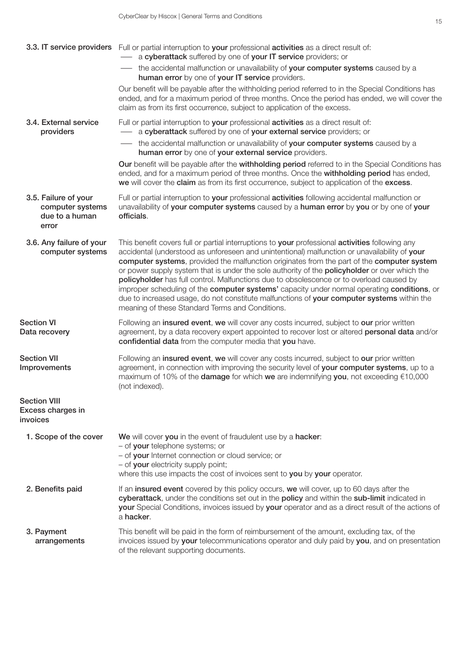|                                                                     | 3.3. IT service providers Full or partial interruption to your professional activities as a direct result of:<br>a cyberattack suffered by one of your IT service providers; or                                                                                                                                                                                                                                                                                                                                                                                                                                                                                                                                                                    |
|---------------------------------------------------------------------|----------------------------------------------------------------------------------------------------------------------------------------------------------------------------------------------------------------------------------------------------------------------------------------------------------------------------------------------------------------------------------------------------------------------------------------------------------------------------------------------------------------------------------------------------------------------------------------------------------------------------------------------------------------------------------------------------------------------------------------------------|
|                                                                     | the accidental malfunction or unavailability of your computer systems caused by a<br>human error by one of your IT service providers.                                                                                                                                                                                                                                                                                                                                                                                                                                                                                                                                                                                                              |
|                                                                     | Our benefit will be payable after the withholding period referred to in the Special Conditions has<br>ended, and for a maximum period of three months. Once the period has ended, we will cover the<br>claim as from its first occurrence, subject to application of the excess.                                                                                                                                                                                                                                                                                                                                                                                                                                                                   |
| 3.4. External service<br>providers                                  | Full or partial interruption to your professional activities as a direct result of:<br>- a cyberattack suffered by one of your external service providers; or                                                                                                                                                                                                                                                                                                                                                                                                                                                                                                                                                                                      |
|                                                                     | the accidental malfunction or unavailability of your computer systems caused by a<br>human error by one of your external service providers.                                                                                                                                                                                                                                                                                                                                                                                                                                                                                                                                                                                                        |
|                                                                     | Our benefit will be payable after the withholding period referred to in the Special Conditions has<br>ended, and for a maximum period of three months. Once the withholding period has ended,<br>we will cover the claim as from its first occurrence, subject to application of the excess.                                                                                                                                                                                                                                                                                                                                                                                                                                                       |
| 3.5. Failure of your<br>computer systems<br>due to a human<br>error | Full or partial interruption to your professional activities following accidental malfunction or<br>unavailability of your computer systems caused by a human error by you or by one of your<br>officials.                                                                                                                                                                                                                                                                                                                                                                                                                                                                                                                                         |
| 3.6. Any failure of your<br>computer systems                        | This benefit covers full or partial interruptions to your professional activities following any<br>accidental (understood as unforeseen and unintentional) malfunction or unavailability of your<br>computer systems, provided the malfunction originates from the part of the computer system<br>or power supply system that is under the sole authority of the <b>policyholder</b> or over which the<br>policyholder has full control. Malfunctions due to obsolescence or to overload caused by<br>improper scheduling of the computer systems' capacity under normal operating conditions, or<br>due to increased usage, do not constitute malfunctions of your computer systems within the<br>meaning of these Standard Terms and Conditions. |
| <b>Section VI</b><br>Data recovery                                  | Following an insured event, we will cover any costs incurred, subject to our prior written<br>agreement, by a data recovery expert appointed to recover lost or altered personal data and/or<br>confidential data from the computer media that you have.                                                                                                                                                                                                                                                                                                                                                                                                                                                                                           |
| <b>Section VII</b><br>Improvements                                  | Following an insured event, we will cover any costs incurred, subject to our prior written<br>agreement, in connection with improving the security level of your computer systems, up to a<br>maximum of 10% of the <b>damage</b> for which we are indemnifying you, not exceeding €10,000<br>(not indexed).                                                                                                                                                                                                                                                                                                                                                                                                                                       |
| <b>Section VIII</b><br>Excess charges in<br>invoices                |                                                                                                                                                                                                                                                                                                                                                                                                                                                                                                                                                                                                                                                                                                                                                    |
| 1. Scope of the cover                                               | We will cover you in the event of fraudulent use by a hacker:<br>- of your telephone systems; or<br>- of your Internet connection or cloud service; or<br>- of your electricity supply point;<br>where this use impacts the cost of invoices sent to you by your operator.                                                                                                                                                                                                                                                                                                                                                                                                                                                                         |
| 2. Benefits paid                                                    | If an insured event covered by this policy occurs, we will cover, up to 60 days after the<br>cyberattack, under the conditions set out in the policy and within the sub-limit indicated in<br>your Special Conditions, invoices issued by your operator and as a direct result of the actions of<br>a hacker.                                                                                                                                                                                                                                                                                                                                                                                                                                      |
| 3. Payment<br>arrangements                                          | This benefit will be paid in the form of reimbursement of the amount, excluding tax, of the<br>invoices issued by your telecommunications operator and duly paid by you, and on presentation<br>of the relevant supporting documents.                                                                                                                                                                                                                                                                                                                                                                                                                                                                                                              |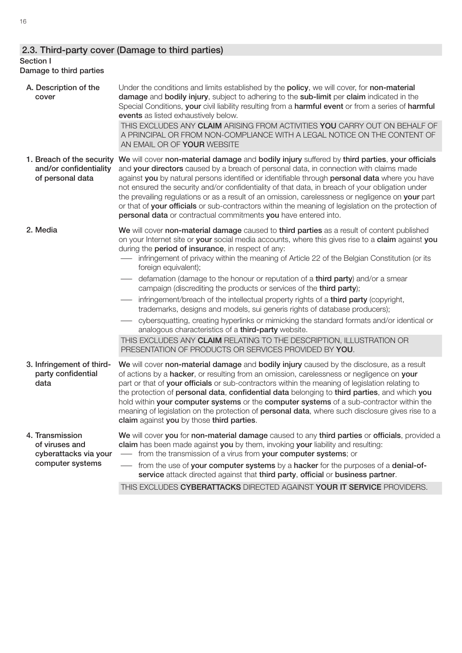## 2.3. Third-party cover (Damage to third parties)

### Section I

### Damage to third parties

|  | A. Description of the<br>cover                                          | Under the conditions and limits established by the policy, we will cover, for non-material<br>damage and bodily injury, subject to adhering to the sub-limit per claim indicated in the<br>Special Conditions, your civil liability resulting from a harmful event or from a series of harmful<br>events as listed exhaustively below.                                                                                                                                                                                                                                                                                                                                       |
|--|-------------------------------------------------------------------------|------------------------------------------------------------------------------------------------------------------------------------------------------------------------------------------------------------------------------------------------------------------------------------------------------------------------------------------------------------------------------------------------------------------------------------------------------------------------------------------------------------------------------------------------------------------------------------------------------------------------------------------------------------------------------|
|  |                                                                         | THIS EXCLUDES ANY CLAIM ARISING FROM ACTIVITIES YOU CARRY OUT ON BEHALF OF<br>A PRINCIPAL OR FROM NON-COMPLIANCE WITH A LEGAL NOTICE ON THE CONTENT OF<br>AN EMAIL OR OF YOUR WEBSITE                                                                                                                                                                                                                                                                                                                                                                                                                                                                                        |
|  | 1. Breach of the security<br>and/or confidentiality<br>of personal data | We will cover non-material damage and bodily injury suffered by third parties, your officials<br>and your directors caused by a breach of personal data, in connection with claims made<br>against you by natural persons identified or identifiable through personal data where you have<br>not ensured the security and/or confidentiality of that data, in breach of your obligation under<br>the prevailing regulations or as a result of an omission, carelessness or negligence on your part<br>or that of your officials or sub-contractors within the meaning of legislation on the protection of<br>personal data or contractual commitments you have entered into. |
|  | 2. Media                                                                | We will cover non-material damage caused to third parties as a result of content published<br>on your Internet site or your social media accounts, where this gives rise to a claim against you<br>during the <b>period of insurance</b> , in respect of any:<br>infringement of privacy within the meaning of Article 22 of the Belgian Constitution (or its<br>foreign equivalent);                                                                                                                                                                                                                                                                                        |
|  |                                                                         | defamation (damage to the honour or reputation of a <b>third party</b> ) and/or a smear<br>campaign (discrediting the products or services of the third party);                                                                                                                                                                                                                                                                                                                                                                                                                                                                                                              |
|  |                                                                         | infringement/breach of the intellectual property rights of a third party (copyright,<br>trademarks, designs and models, sui generis rights of database producers);                                                                                                                                                                                                                                                                                                                                                                                                                                                                                                           |
|  |                                                                         | cybersquatting, creating hyperlinks or mimicking the standard formats and/or identical or<br>analogous characteristics of a third-party website.                                                                                                                                                                                                                                                                                                                                                                                                                                                                                                                             |
|  |                                                                         | THIS EXCLUDES ANY CLAIM RELATING TO THE DESCRIPTION, ILLUSTRATION OR<br>PRESENTATION OF PRODUCTS OR SERVICES PROVIDED BY YOU.                                                                                                                                                                                                                                                                                                                                                                                                                                                                                                                                                |
|  | 3. Infringement of third-<br>party confidential<br>data                 | We will cover non-material damage and bodily injury caused by the disclosure, as a result<br>of actions by a hacker, or resulting from an omission, carelessness or negligence on your<br>part or that of your officials or sub-contractors within the meaning of legislation relating to<br>the protection of personal data, confidential data belonging to third parties, and which you<br>hold within your computer systems or the computer systems of a sub-contractor within the<br>meaning of legislation on the protection of <b>personal data</b> , where such disclosure gives rise to a<br>claim against you by those third parties.                               |
|  | 4. Transmission<br>of viruses and                                       | We will cover you for non-material damage caused to any third parties or officials, provided a<br>claim has been made against you by them, invoking your liability and resulting:                                                                                                                                                                                                                                                                                                                                                                                                                                                                                            |
|  | cyberattacks via your<br>computer systems                               | - from the transmission of a virus from your computer systems; or                                                                                                                                                                                                                                                                                                                                                                                                                                                                                                                                                                                                            |
|  |                                                                         | from the use of your computer systems by a hacker for the purposes of a denial-of-<br>service attack directed against that third party, official or business partner.                                                                                                                                                                                                                                                                                                                                                                                                                                                                                                        |
|  |                                                                         | THIS EXCLUDES CYBERATTACKS DIRECTED AGAINST YOUR IT SERVICE PROVIDERS.                                                                                                                                                                                                                                                                                                                                                                                                                                                                                                                                                                                                       |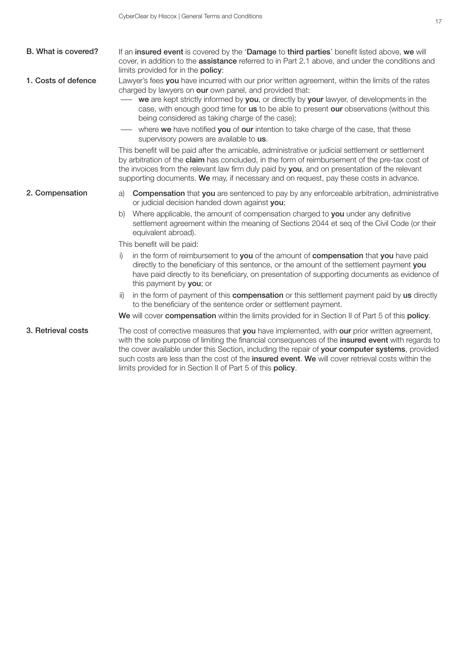| B. What is covered? | If an insured event is covered by the 'Damage to third parties' benefit listed above, we will<br>cover, in addition to the <b>assistance</b> referred to in Part 2.1 above, and under the conditions and<br>limits provided for in the <b>policy</b> :                                                                                                                                                                                                                                                                                                                                                                                                                                                                                                                                                                                                                                                                                            |
|---------------------|---------------------------------------------------------------------------------------------------------------------------------------------------------------------------------------------------------------------------------------------------------------------------------------------------------------------------------------------------------------------------------------------------------------------------------------------------------------------------------------------------------------------------------------------------------------------------------------------------------------------------------------------------------------------------------------------------------------------------------------------------------------------------------------------------------------------------------------------------------------------------------------------------------------------------------------------------|
| 1. Costs of defence | Lawyer's fees you have incurred with our prior written agreement, within the limits of the rates<br>charged by lawyers on our own panel, and provided that:<br><b>we</b> are kept strictly informed by you, or directly by your lawyer, of developments in the<br>case, with enough good time for us to be able to present our observations (without this<br>being considered as taking charge of the case);<br>— where we have notified you of our intention to take charge of the case, that these<br>supervisory powers are available to us.<br>This benefit will be paid after the amicable, administrative or judicial settlement or settlement<br>by arbitration of the claim has concluded, in the form of reimbursement of the pre-tax cost of<br>the invoices from the relevant law firm duly paid by you, and on presentation of the relevant<br>supporting documents. We may, if necessary and on request, pay these costs in advance. |
| 2. Compensation     | <b>Compensation</b> that you are sentenced to pay by any enforceable arbitration, administrative<br>a)<br>or judicial decision handed down against you;<br>Where applicable, the amount of compensation charged to you under any definitive<br>b)<br>settlement agreement within the meaning of Sections 2044 et seq of the Civil Code (or their<br>equivalent abroad).                                                                                                                                                                                                                                                                                                                                                                                                                                                                                                                                                                           |
|                     | This benefit will be paid:                                                                                                                                                                                                                                                                                                                                                                                                                                                                                                                                                                                                                                                                                                                                                                                                                                                                                                                        |
|                     | in the form of reimbursement to you of the amount of compensation that you have paid<br>i)<br>directly to the beneficiary of this sentence, or the amount of the settlement payment you<br>have paid directly to its beneficiary, on presentation of supporting documents as evidence of<br>this payment by you; or                                                                                                                                                                                                                                                                                                                                                                                                                                                                                                                                                                                                                               |
|                     | in the form of payment of this compensation or this settlement payment paid by us directly<br>ii)<br>to the beneficiary of the sentence order or settlement payment.                                                                                                                                                                                                                                                                                                                                                                                                                                                                                                                                                                                                                                                                                                                                                                              |
|                     | We will cover compensation within the limits provided for in Section II of Part 5 of this policy.                                                                                                                                                                                                                                                                                                                                                                                                                                                                                                                                                                                                                                                                                                                                                                                                                                                 |
| 3. Retrieval costs  | The cost of corrective measures that you have implemented, with our prior written agreement,<br>with the sole purpose of limiting the financial consequences of the insured event with regards to<br>the cover available under this Section, including the repair of your computer systems, provided<br>such costs are less than the cost of the insured event. We will cover retrieval costs within the                                                                                                                                                                                                                                                                                                                                                                                                                                                                                                                                          |

limits provided for in Section II of Part 5 of this policy.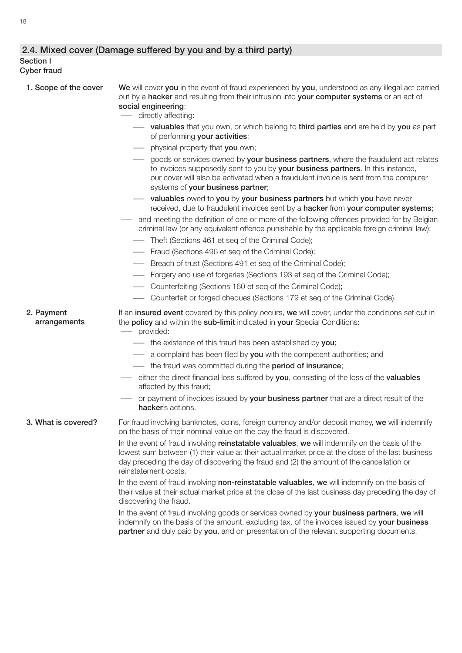### 2.4. Mixed cover (Damage suffered by you and by a third party)

#### Section I Cyber fraud

| 1. Scope of the cover      | We will cover you in the event of fraud experienced by you, understood as any illegal act carried<br>out by a hacker and resulting from their intrusion into your computer systems or an act of<br>social engineering:<br>- directly affecting:                                                                        |
|----------------------------|------------------------------------------------------------------------------------------------------------------------------------------------------------------------------------------------------------------------------------------------------------------------------------------------------------------------|
|                            | <b>-</b> valuables that you own, or which belong to third parties and are held by you as part<br>of performing your activities;                                                                                                                                                                                        |
|                            | - physical property that you own;                                                                                                                                                                                                                                                                                      |
|                            | goods or services owned by your business partners, where the fraudulent act relates<br>to invoices supposedly sent to you by your business partners. In this instance,<br>our cover will also be activated when a fraudulent invoice is sent from the computer<br>systems of your business partner;                    |
|                            | valuables owed to you by your business partners but which you have never<br>received, due to fraudulent invoices sent by a hacker from your computer systems;                                                                                                                                                          |
|                            | and meeting the definition of one or more of the following offences provided for by Belgian<br>criminal law (or any equivalent offence punishable by the applicable foreign criminal law):<br>Theft (Sections 461 et seq of the Criminal Code);                                                                        |
|                            | - Fraud (Sections 496 et seq of the Criminal Code);                                                                                                                                                                                                                                                                    |
|                            | - Breach of trust (Sections 491 et seq of the Criminal Code);                                                                                                                                                                                                                                                          |
|                            | Forgery and use of forgeries (Sections 193 et seq of the Criminal Code);                                                                                                                                                                                                                                               |
|                            | - Counterfeiting (Sections 160 et seq of the Criminal Code);                                                                                                                                                                                                                                                           |
|                            | - Counterfeit or forged cheques (Sections 179 et seq of the Criminal Code).                                                                                                                                                                                                                                            |
| 2. Payment<br>arrangements | If an insured event covered by this policy occurs, we will cover, under the conditions set out in<br>the policy and within the sub-limit indicated in your Special Conditions:<br>- provided:                                                                                                                          |
|                            | the existence of this fraud has been established by you;                                                                                                                                                                                                                                                               |
|                            | - a complaint has been filed by you with the competent authorities; and                                                                                                                                                                                                                                                |
|                            | - the fraud was committed during the period of insurance;                                                                                                                                                                                                                                                              |
|                            | either the direct financial loss suffered by you, consisting of the loss of the valuables<br>affected by this fraud;                                                                                                                                                                                                   |
|                            | or payment of invoices issued by your business partner that are a direct result of the<br>hacker's actions.                                                                                                                                                                                                            |
| 3. What is covered?        | For fraud involving banknotes, coins, foreign currency and/or deposit money, we will indemnify<br>on the basis of their nominal value on the day the fraud is discovered.                                                                                                                                              |
|                            | In the event of fraud involving reinstatable valuables, we will indemnify on the basis of the<br>lowest sum between (1) their value at their actual market price at the close of the last business<br>day preceding the day of discovering the fraud and (2) the amount of the cancellation or<br>reinstatement costs. |
|                            | In the event of fraud involving non-reinstatable valuables, we will indemnify on the basis of<br>their value at their actual market price at the close of the last business day preceding the day of<br>discovering the fraud.                                                                                         |
|                            | In the event of fraud involving goods or services owned by your business partners, we will<br>indemnify on the basis of the amount, excluding tax, of the invoices issued by your business<br>partner and duly paid by you, and on presentation of the relevant supporting documents.                                  |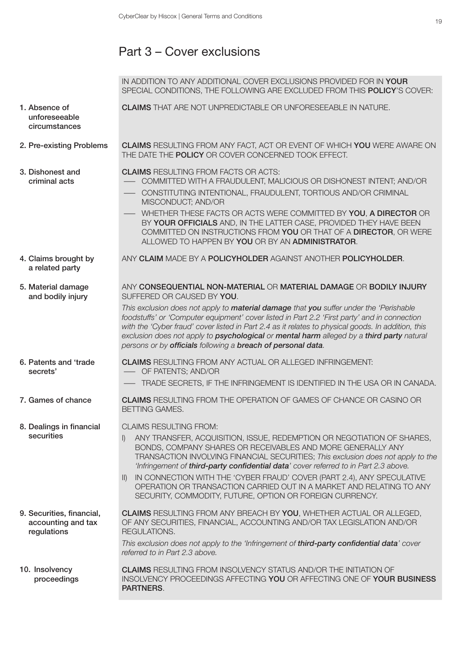# Part 3 – Cover exclusions

|                                                                | IN ADDITION TO ANY ADDITIONAL COVER EXCLUSIONS PROVIDED FOR IN YOUR<br>SPECIAL CONDITIONS, THE FOLLOWING ARE EXCLUDED FROM THIS POLICY'S COVER:                                                                                                                                                                                                                                                                                                                                                                                                                                 |
|----------------------------------------------------------------|---------------------------------------------------------------------------------------------------------------------------------------------------------------------------------------------------------------------------------------------------------------------------------------------------------------------------------------------------------------------------------------------------------------------------------------------------------------------------------------------------------------------------------------------------------------------------------|
| 1. Absence of<br>unforeseeable<br>circumstances                | <b>CLAIMS</b> THAT ARE NOT UNPREDICTABLE OR UNFORESEEABLE IN NATURE.                                                                                                                                                                                                                                                                                                                                                                                                                                                                                                            |
| 2. Pre-existing Problems                                       | <b>CLAIMS</b> RESULTING FROM ANY FACT, ACT OR EVENT OF WHICH YOU WERE AWARE ON<br>THE DATE THE POLICY OR COVER CONCERNED TOOK EFFECT.                                                                                                                                                                                                                                                                                                                                                                                                                                           |
| 3. Dishonest and<br>criminal acts                              | <b>CLAIMS RESULTING FROM FACTS OR ACTS:</b><br>COMMITTED WITH A FRAUDULENT, MALICIOUS OR DISHONEST INTENT; AND/OR<br>CONSTITUTING INTENTIONAL, FRAUDULENT, TORTIOUS AND/OR CRIMINAL<br>MISCONDUCT; AND/OR<br>WHETHER THESE FACTS OR ACTS WERE COMMITTED BY YOU, A DIRECTOR OR<br>BY YOUR OFFICIALS AND, IN THE LATTER CASE, PROVIDED THEY HAVE BEEN<br>COMMITTED ON INSTRUCTIONS FROM YOU OR THAT OF A DIRECTOR, OR WERE<br>ALLOWED TO HAPPEN BY YOU OR BY AN ADMINISTRATOR.                                                                                                    |
| 4. Claims brought by<br>a related party                        | ANY CLAIM MADE BY A POLICYHOLDER AGAINST ANOTHER POLICYHOLDER.                                                                                                                                                                                                                                                                                                                                                                                                                                                                                                                  |
| 5. Material damage<br>and bodily injury                        | ANY CONSEQUENTIAL NON-MATERIAL OR MATERIAL DAMAGE OR BODILY INJURY<br>SUFFERED OR CAUSED BY YOU.<br>This exclusion does not apply to <b>material damage</b> that you suffer under the 'Perishable<br>foodstuffs' or 'Computer equipment' cover listed in Part 2.2 'First party' and in connection<br>with the 'Cyber fraud' cover listed in Part 2.4 as it relates to physical goods. In addition, this<br>exclusion does not apply to <b>psychological</b> or mental harm alleged by a third party natural<br>persons or by officials following a breach of personal data.     |
| 6. Patents and 'trade<br>secrets'                              | <b>CLAIMS</b> RESULTING FROM ANY ACTUAL OR ALLEGED INFRINGEMENT:<br>- OF PATENTS; AND/OR<br>- TRADE SECRETS, IF THE INFRINGEMENT IS IDENTIFIED IN THE USA OR IN CANADA.                                                                                                                                                                                                                                                                                                                                                                                                         |
| 7. Games of chance                                             | <b>CLAIMS</b> RESULTING FROM THE OPERATION OF GAMES OF CHANCE OR CASINO OR<br><b>BETTING GAMES.</b>                                                                                                                                                                                                                                                                                                                                                                                                                                                                             |
| 8. Dealings in financial<br>securities                         | <b>CLAIMS RESULTING FROM:</b><br>ANY TRANSFER, ACQUISITION, ISSUE, REDEMPTION OR NEGOTIATION OF SHARES,<br>BONDS, COMPANY SHARES OR RECEIVABLES AND MORE GENERALLY ANY<br>TRANSACTION INVOLVING FINANCIAL SECURITIES; This exclusion does not apply to the<br>'Infringement of third-party confidential data' cover referred to in Part 2.3 above.<br>IN CONNECTION WITH THE 'CYBER FRAUD' COVER (PART 2.4), ANY SPECULATIVE<br>$\parallel$<br>OPERATION OR TRANSACTION CARRIED OUT IN A MARKET AND RELATING TO ANY<br>SECURITY, COMMODITY, FUTURE, OPTION OR FOREIGN CURRENCY. |
| 9. Securities, financial,<br>accounting and tax<br>regulations | <b>CLAIMS RESULTING FROM ANY BREACH BY YOU, WHETHER ACTUAL OR ALLEGED,</b><br>OF ANY SECURITIES, FINANCIAL, ACCOUNTING AND/OR TAX LEGISLATION AND/OR<br>REGULATIONS.<br>This exclusion does not apply to the 'Infringement of third-party confidential data' cover<br>referred to in Part 2.3 above.                                                                                                                                                                                                                                                                            |
| 10. Insolvency<br>proceedings                                  | <b>CLAIMS</b> RESULTING FROM INSOLVENCY STATUS AND/OR THE INITIATION OF<br>INSOLVENCY PROCEEDINGS AFFECTING YOU OR AFFECTING ONE OF YOUR BUSINESS<br>PARTNERS.                                                                                                                                                                                                                                                                                                                                                                                                                  |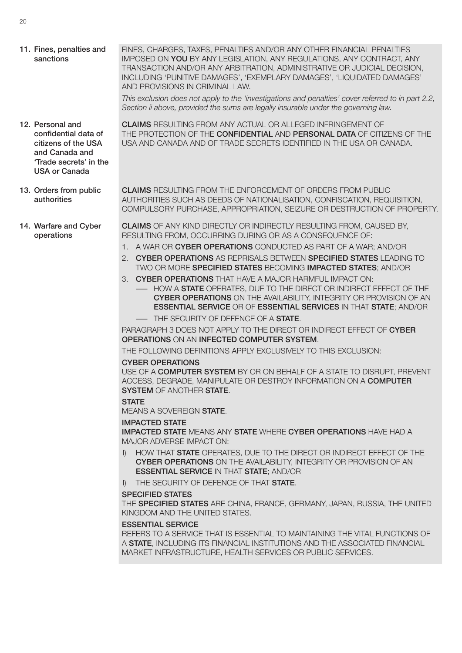11. Fines, penalties and sanctions FINES, CHARGES, TAXES, PENALTIES AND/OR ANY OTHER FINANCIAL PENALTIES IMPOSED ON YOU BY ANY LEGISLATION, ANY REGULATIONS, ANY CONTRACT, ANY TRANSACTION AND/OR ANY ARBITRATION, ADMINISTRATIVE OR JUDICIAL DECISION, INCLUDING 'PUNITIVE DAMAGES', 'EXEMPLARY DAMAGES', 'LIQUIDATED DAMAGES'

AND PROVISIONS IN CRIMINAL LAW.

*This exclusion does not apply to the 'investigations and penalties' cover referred to in part 2.2, Section ii above, provided the sums are legally insurable under the governing law.*

THE PROTECTION OF THE CONFIDENTIAL AND PERSONAL DATA OF CITIZENS OF THE USA AND CANADA AND OF TRADE SECRETS IDENTIFIED IN THE USA OR CANADA.

12. Personal and confidential data of citizens of the USA and Canada and 'Trade secrets' in the USA or Canada

13. Orders from public authorities CLAIMS RESULTING FROM THE ENFORCEMENT OF ORDERS FROM PUBLIC AUTHORITIES SUCH AS DEEDS OF NATIONALISATION, CONFISCATION, REQUISITION, COMPULSORY PURCHASE, APPROPRIATION, SEIZURE OR DESTRUCTION OF PROPERTY.

CLAIMS RESULTING FROM ANY ACTUAL OR ALLEGED INFRINGEMENT OF

- CLAIMS OF ANY KIND DIRECTLY OR INDIRECTLY RESULTING FROM, CAUSED BY, RESULTING FROM, OCCURRING DURING OR AS A CONSEQUENCE OF:
	- 1. A WAR OR CYBER OPERATIONS CONDUCTED AS PART OF A WAR; AND/OR
	- 2. CYBER OPERATIONS AS REPRISALS BETWEEN SPECIFIED STATES LEADING TO TWO OR MORE SPECIFIED STATES BECOMING IMPACTED STATES; AND/OR
	- 3. CYBER OPERATIONS THAT HAVE A MAJOR HARMFUL IMPACT ON:
		- HOW A STATE OPERATES, DUE TO THE DIRECT OR INDIRECT EFFECT OF THE CYBER OPERATIONS ON THE AVAILABILITY, INTEGRITY OR PROVISION OF AN ESSENTIAL SERVICE OR OF ESSENTIAL SERVICES IN THAT STATE; AND/OR — THE SECURITY OF DEFENCE OF A **STATE**.

PARAGRAPH 3 DOES NOT APPLY TO THE DIRECT OR INDIRECT EFFECT OF CYBER OPERATIONS ON AN INFECTED COMPUTER SYSTEM.

THE FOLLOWING DEFINITIONS APPLY EXCLUSIVELY TO THIS EXCLUSION:

#### CYBER OPERATIONS

USE OF A COMPUTER SYSTEM BY OR ON BEHALF OF A STATE TO DISRUPT, PREVENT ACCESS, DEGRADE, MANIPULATE OR DESTROY INFORMATION ON A COMPUTER SYSTEM OF ANOTHER STATE.

#### **STATE**

MEANS A SOVEREIGN STATE.

#### IMPACTED STATE

IMPACTED STATE MEANS ANY STATE WHERE CYBER OPERATIONS HAVE HAD A MAJOR ADVERSE IMPACT ON:

- I) HOW THAT STATE OPERATES, DUE TO THE DIRECT OR INDIRECT EFFECT OF THE CYBER OPERATIONS ON THE AVAILABILITY, INTEGRITY OR PROVISION OF AN ESSENTIAL SERVICE IN THAT STATE; AND/OR
- I) THE SECURITY OF DEFENCE OF THAT STATE.

#### SPECIFIED STATES

THE SPECIFIED STATES ARE CHINA, FRANCE, GERMANY, JAPAN, RUSSIA, THE UNITED KINGDOM AND THE UNITED STATES.

#### ESSENTIAL SERVICE

REFERS TO A SERVICE THAT IS ESSENTIAL TO MAINTAINING THE VITAL FUNCTIONS OF A STATE, INCLUDING ITS FINANCIAL INSTITUTIONS AND THE ASSOCIATED FINANCIAL MARKET INFRASTRUCTURE, HEALTH SERVICES OR PUBLIC SERVICES.

14. Warfare and Cyber operations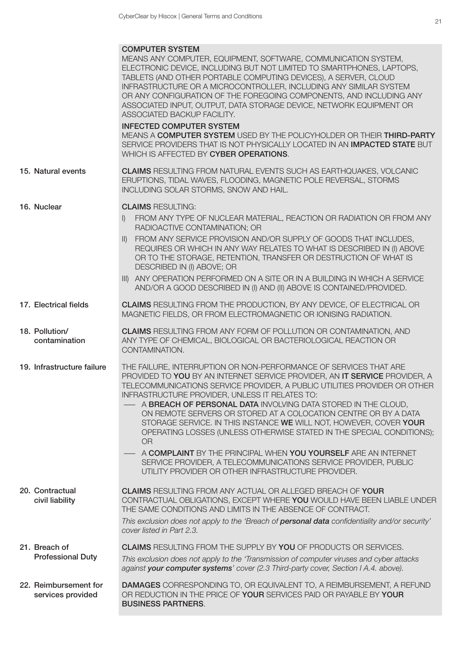|                                            | <b>COMPUTER SYSTEM</b><br>MEANS ANY COMPUTER, EQUIPMENT, SOFTWARE, COMMUNICATION SYSTEM,<br>ELECTRONIC DEVICE, INCLUDING BUT NOT LIMITED TO SMARTPHONES, LAPTOPS,<br>TABLETS (AND OTHER PORTABLE COMPUTING DEVICES), A SERVER, CLOUD<br>INFRASTRUCTURE OR A MICROCONTROLLER, INCLUDING ANY SIMILAR SYSTEM<br>OR ANY CONFIGURATION OF THE FOREGOING COMPONENTS, AND INCLUDING ANY<br>ASSOCIATED INPUT, OUTPUT, DATA STORAGE DEVICE, NETWORK EQUIPMENT OR<br>ASSOCIATED BACKUP FACILITY.                                                                                                                                                                                                                                                                                    |
|--------------------------------------------|---------------------------------------------------------------------------------------------------------------------------------------------------------------------------------------------------------------------------------------------------------------------------------------------------------------------------------------------------------------------------------------------------------------------------------------------------------------------------------------------------------------------------------------------------------------------------------------------------------------------------------------------------------------------------------------------------------------------------------------------------------------------------|
|                                            | <b>INFECTED COMPUTER SYSTEM</b><br>MEANS A COMPUTER SYSTEM USED BY THE POLICYHOLDER OR THEIR THIRD-PARTY<br>SERVICE PROVIDERS THAT IS NOT PHYSICALLY LOCATED IN AN IMPACTED STATE BUT<br>WHICH IS AFFECTED BY CYBER OPERATIONS.                                                                                                                                                                                                                                                                                                                                                                                                                                                                                                                                           |
| 15. Natural events                         | <b>CLAIMS</b> RESULTING FROM NATURAL EVENTS SUCH AS EARTHQUAKES, VOLCANIC<br>ERUPTIONS, TIDAL WAVES, FLOODING, MAGNETIC POLE REVERSAL, STORMS<br>INCLUDING SOLAR STORMS, SNOW AND HAIL.                                                                                                                                                                                                                                                                                                                                                                                                                                                                                                                                                                                   |
| 16. Nuclear                                | <b>CLAIMS RESULTING:</b><br>FROM ANY TYPE OF NUCLEAR MATERIAL, REACTION OR RADIATION OR FROM ANY<br>$\mathbb{D}$<br>RADIOACTIVE CONTAMINATION; OR<br>FROM ANY SERVICE PROVISION AND/OR SUPPLY OF GOODS THAT INCLUDES.<br>$\parallel$<br>REQUIRES OR WHICH IN ANY WAY RELATES TO WHAT IS DESCRIBED IN (I) ABOVE<br>OR TO THE STORAGE, RETENTION, TRANSFER OR DESTRUCTION OF WHAT IS<br>DESCRIBED IN (I) ABOVE; OR<br>III) ANY OPERATION PERFORMED ON A SITE OR IN A BUILDING IN WHICH A SERVICE<br>AND/OR A GOOD DESCRIBED IN (I) AND (II) ABOVE IS CONTAINED/PROVIDED.                                                                                                                                                                                                    |
| 17. Electrical fields                      | <b>CLAIMS</b> RESULTING FROM THE PRODUCTION, BY ANY DEVICE, OF ELECTRICAL OR<br>MAGNETIC FIELDS, OR FROM ELECTROMAGNETIC OR IONISING RADIATION.                                                                                                                                                                                                                                                                                                                                                                                                                                                                                                                                                                                                                           |
| 18. Pollution/<br>contamination            | <b>CLAIMS</b> RESULTING FROM ANY FORM OF POLLUTION OR CONTAMINATION, AND<br>ANY TYPE OF CHEMICAL, BIOLOGICAL OR BACTERIOLOGICAL REACTION OR<br>CONTAMINATION.                                                                                                                                                                                                                                                                                                                                                                                                                                                                                                                                                                                                             |
| 19. Infrastructure failure                 | THE FAILURE, INTERRUPTION OR NON-PERFORMANCE OF SERVICES THAT ARE<br>PROVIDED TO YOU BY AN INTERNET SERVICE PROVIDER, AN IT SERVICE PROVIDER, A<br>TELECOMMUNICATIONS SERVICE PROVIDER, A PUBLIC UTILITIES PROVIDER OR OTHER<br>INFRASTRUCTURE PROVIDER, UNLESS IT RELATES TO:<br>A BREACH OF PERSONAL DATA INVOLVING DATA STORED IN THE CLOUD,<br>ON REMOTE SERVERS OR STORED AT A COLOCATION CENTRE OR BY A DATA<br>STORAGE SERVICE. IN THIS INSTANCE WE WILL NOT, HOWEVER, COVER YOUR<br>OPERATING LOSSES (UNLESS OTHERWISE STATED IN THE SPECIAL CONDITIONS);<br><b>OR</b><br>A COMPLAINT BY THE PRINCIPAL WHEN YOU YOURSELF ARE AN INTERNET<br>SERVICE PROVIDER, A TELECOMMUNICATIONS SERVICE PROVIDER, PUBLIC<br>UTILITY PROVIDER OR OTHER INFRASTRUCTURE PROVIDER. |
| 20. Contractual<br>civil liability         | <b>CLAIMS RESULTING FROM ANY ACTUAL OR ALLEGED BREACH OF YOUR</b><br>CONTRACTUAL OBLIGATIONS, EXCEPT WHERE YOU WOULD HAVE BEEN LIABLE UNDER<br>THE SAME CONDITIONS AND LIMITS IN THE ABSENCE OF CONTRACT.<br>This exclusion does not apply to the 'Breach of <b>personal data</b> confidentiality and/or security'<br>cover listed in Part 2.3.                                                                                                                                                                                                                                                                                                                                                                                                                           |
| 21. Breach of<br><b>Professional Duty</b>  | <b>CLAIMS</b> RESULTING FROM THE SUPPLY BY YOU OF PRODUCTS OR SERVICES.<br>This exclusion does not apply to the 'Transmission of computer viruses and cyber attacks<br>against your computer systems' cover (2.3 Third-party cover, Section I A.4. above).                                                                                                                                                                                                                                                                                                                                                                                                                                                                                                                |
| 22. Reimbursement for<br>services provided | <b>DAMAGES</b> CORRESPONDING TO, OR EQUIVALENT TO, A REIMBURSEMENT, A REFUND<br>OR REDUCTION IN THE PRICE OF YOUR SERVICES PAID OR PAYABLE BY YOUR<br><b>BUSINESS PARTNERS.</b>                                                                                                                                                                                                                                                                                                                                                                                                                                                                                                                                                                                           |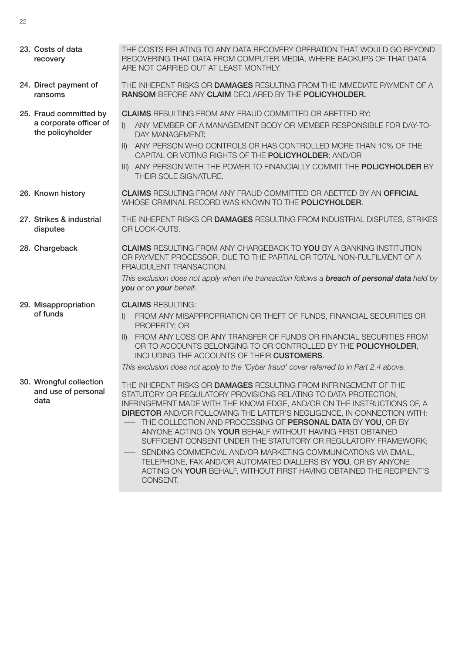| 23. Costs of data<br>recovery                                        | THE COSTS RELATING TO ANY DATA RECOVERY OPERATION THAT WOULD GO BEYOND<br>RECOVERING THAT DATA FROM COMPUTER MEDIA, WHERE BACKUPS OF THAT DATA<br>ARE NOT CARRIED OUT AT LEAST MONTHLY.                                                                                                                                                                                                                                                                                                                                                                                                                                                                                                                                 |
|----------------------------------------------------------------------|-------------------------------------------------------------------------------------------------------------------------------------------------------------------------------------------------------------------------------------------------------------------------------------------------------------------------------------------------------------------------------------------------------------------------------------------------------------------------------------------------------------------------------------------------------------------------------------------------------------------------------------------------------------------------------------------------------------------------|
| 24. Direct payment of<br>ransoms                                     | THE INHERENT RISKS OR DAMAGES RESULTING FROM THE IMMEDIATE PAYMENT OF A<br>RANSOM BEFORE ANY CLAIM DECLARED BY THE POLICYHOLDER.                                                                                                                                                                                                                                                                                                                                                                                                                                                                                                                                                                                        |
| 25. Fraud committed by<br>a corporate officer of<br>the policyholder | <b>CLAIMS</b> RESULTING FROM ANY FRAUD COMMITTED OR ABETTED BY:<br>$\vert$ )<br>ANY MEMBER OF A MANAGEMENT BODY OR MEMBER RESPONSIBLE FOR DAY-TO-<br>DAY MANAGEMENT;<br>ANY PERSON WHO CONTROLS OR HAS CONTROLLED MORE THAN 10% OF THE<br>$\parallel$<br>CAPITAL OR VOTING RIGHTS OF THE POLICYHOLDER; AND/OR<br>III) ANY PERSON WITH THE POWER TO FINANCIALLY COMMIT THE POLICYHOLDER BY<br>THEIR SOLE SIGNATURE.                                                                                                                                                                                                                                                                                                      |
| 26. Known history                                                    | <b>CLAIMS RESULTING FROM ANY FRAUD COMMITTED OR ABETTED BY AN OFFICIAL</b><br>WHOSE CRIMINAL RECORD WAS KNOWN TO THE POLICYHOLDER.                                                                                                                                                                                                                                                                                                                                                                                                                                                                                                                                                                                      |
| 27. Strikes & industrial<br>disputes                                 | THE INHERENT RISKS OR DAMAGES RESULTING FROM INDUSTRIAL DISPUTES, STRIKES<br>OR LOCK-OUTS.                                                                                                                                                                                                                                                                                                                                                                                                                                                                                                                                                                                                                              |
| 28. Chargeback                                                       | <b>CLAIMS RESULTING FROM ANY CHARGEBACK TO YOU BY A BANKING INSTITUTION</b><br>OR PAYMENT PROCESSOR, DUE TO THE PARTIAL OR TOTAL NON-FULFILMENT OF A<br>FRAUDULENT TRANSACTION.<br>This exclusion does not apply when the transaction follows a <b>breach of personal data</b> held by<br>you or on your behalf.                                                                                                                                                                                                                                                                                                                                                                                                        |
| 29. Misappropriation<br>of funds                                     | <b>CLAIMS RESULTING:</b><br>FROM ANY MISAPPROPRIATION OR THEFT OF FUNDS, FINANCIAL SECURITIES OR<br>$\vert$<br>PROPERTY; OR<br>FROM ANY LOSS OR ANY TRANSFER OF FUNDS OR FINANCIAL SECURITIES FROM<br>$\parallel$<br>OR TO ACCOUNTS BELONGING TO OR CONTROLLED BY THE POLICYHOLDER,<br>INCLUDING THE ACCOUNTS OF THEIR CUSTOMERS.<br>This exclusion does not apply to the 'Cyber fraud' cover referred to in Part 2.4 above.                                                                                                                                                                                                                                                                                            |
| 30. Wrongful collection<br>and use of personal<br>data               | THE INHERENT RISKS OR DAMAGES RESULTING FROM INFRINGEMENT OF THE<br>STATUTORY OR REGULATORY PROVISIONS RELATING TO DATA PROTECTION,<br>INFRINGEMENT MADE WITH THE KNOWLEDGE, AND/OR ON THE INSTRUCTIONS OF, A<br><b>DIRECTOR</b> AND/OR FOLLOWING THE LATTER'S NEGLIGENCE, IN CONNECTION WITH:<br>- THE COLLECTION AND PROCESSING OF PERSONAL DATA BY YOU, OR BY<br>ANYONE ACTING ON YOUR BEHALF WITHOUT HAVING FIRST OBTAINED<br>SUFFICIENT CONSENT UNDER THE STATUTORY OR REGULATORY FRAMEWORK;<br>SENDING COMMERCIAL AND/OR MARKETING COMMUNICATIONS VIA EMAIL,<br>TELEPHONE, FAX AND/OR AUTOMATED DIALLERS BY YOU, OR BY ANYONE<br>ACTING ON YOUR BEHALF, WITHOUT FIRST HAVING OBTAINED THE RECIPIENT'S<br>CONSENT. |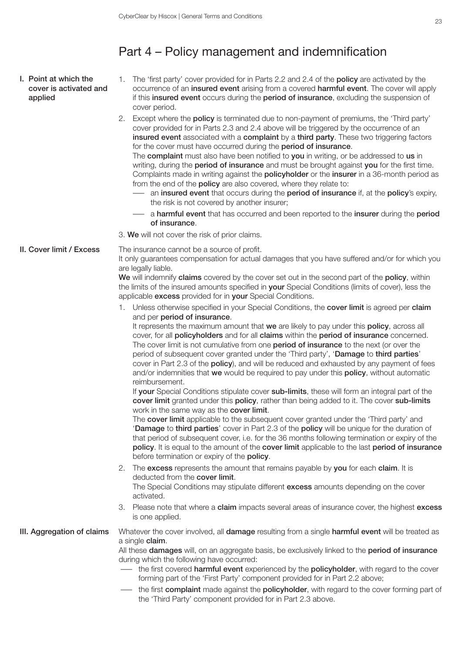### Part 4 – Policy management and indemnification

- I. Point at which the cover is activated and applied
- 1. The 'first party' cover provided for in Parts 2.2 and 2.4 of the **policy** are activated by the occurrence of an insured event arising from a covered harmful event. The cover will apply if this insured event occurs during the period of insurance, excluding the suspension of cover period.
- 2. Except where the **policy** is terminated due to non-payment of premiums, the 'Third party' cover provided for in Parts 2.3 and 2.4 above will be triggered by the occurrence of an insured event associated with a complaint by a third party. These two triggering factors for the cover must have occurred during the period of insurance.

The complaint must also have been notified to you in writing, or be addressed to us in writing, during the **period of insurance** and must be brought against you for the first time. Complaints made in writing against the **policyholder** or the **insurer** in a 36-month period as from the end of the **policy** are also covered, where they relate to:

- an insured event that occurs during the period of insurance if, at the policy's expiry, the risk is not covered by another insurer;
- a harmful event that has occurred and been reported to the insurer during the period of insurance.
- 3. We will not cover the risk of prior claims.

II. Cover limit / Excess The insurance cannot be a source of profit.

It only guarantees compensation for actual damages that you have suffered and/or for which you are legally liable.

We will indemnify claims covered by the cover set out in the second part of the policy, within the limits of the insured amounts specified in **your** Special Conditions (limits of cover), less the applicable excess provided for in your Special Conditions.

1. Unless otherwise specified in your Special Conditions, the cover limit is agreed per claim and per period of insurance.

It represents the maximum amount that we are likely to pay under this policy, across all cover, for all policyholders and for all claims within the period of insurance concerned. The cover limit is not cumulative from one **period of insurance** to the next (or over the period of subsequent cover granted under the 'Third party', 'Damage to third parties' cover in Part 2.3 of the **policy**), and will be reduced and exhausted by any payment of fees and/or indemnities that we would be required to pay under this policy, without automatic reimbursement.

If your Special Conditions stipulate cover sub-limits, these will form an integral part of the cover limit granted under this policy, rather than being added to it. The cover sub-limits work in the same way as the cover limit.

The cover limit applicable to the subsequent cover granted under the 'Third party' and 'Damage to third parties' cover in Part 2.3 of the policy will be unique for the duration of that period of subsequent cover, i.e. for the 36 months following termination or expiry of the policy. It is equal to the amount of the cover limit applicable to the last period of insurance before termination or expiry of the policy.

2. The excess represents the amount that remains payable by you for each claim. It is deducted from the cover limit.

The Special Conditions may stipulate different excess amounts depending on the cover activated.

3. Please note that where a **claim** impacts several areas of insurance cover, the highest excess is one applied.

III. Aggregation of claims Whatever the cover involved, all damage resulting from a single harmful event will be treated as a single claim.

> All these **damages** will, on an aggregate basis, be exclusively linked to the **period of insurance** during which the following have occurred:

- the first covered harmful event experienced by the policyholder, with regard to the cover forming part of the 'First Party' component provided for in Part 2.2 above;
- the first **complaint** made against the **policyholder**, with regard to the cover forming part of the 'Third Party' component provided for in Part 2.3 above.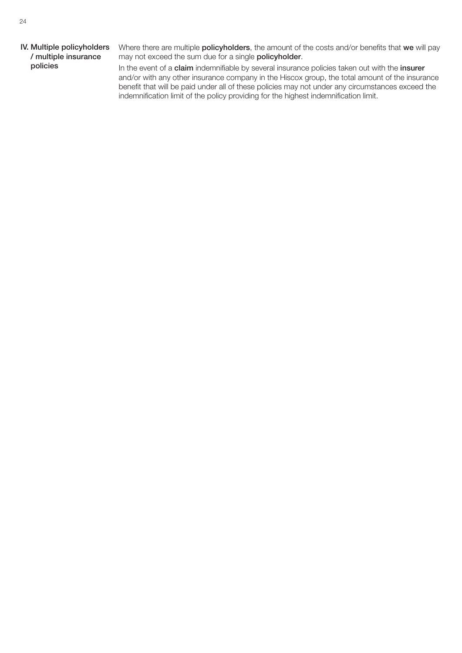#### IV. Multiple policyholders / multiple insurance policies

Where there are multiple **policyholders**, the amount of the costs and/or benefits that we will pay may not exceed the sum due for a single **policyholder**.

In the event of a claim indemnifiable by several insurance policies taken out with the insurer and/or with any other insurance company in the Hiscox group, the total amount of the insurance benefit that will be paid under all of these policies may not under any circumstances exceed the indemnification limit of the policy providing for the highest indemnification limit.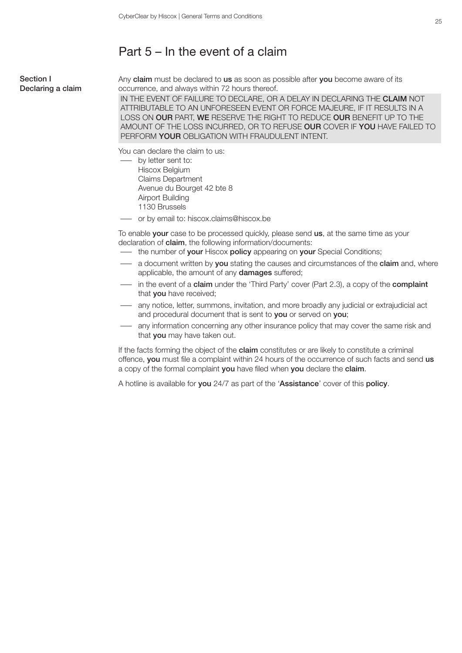### Part 5 – In the event of a claim

#### Section I Declaring a claim

Any claim must be declared to us as soon as possible after you become aware of its occurrence, and always within 72 hours thereof.

IN THE EVENT OF FAILURE TO DECLARE, OR A DELAY IN DECLARING THE CLAIM NOT ATTRIBUTABLE TO AN UNFORESEEN EVENT OR FORCE MAJEURE, IF IT RESULTS IN A LOSS ON OUR PART, WE RESERVE THE RIGHT TO REDUCE OUR BENEFIT UP TO THE AMOUNT OF THE LOSS INCURRED, OR TO REFUSE OUR COVER IF YOU HAVE FAILED TO PERFORM YOUR OBLIGATION WITH FRAUDULENT INTENT.

You can declare the claim to us:

- by letter sent to: Hiscox Belgium Claims Department Avenue du Bourget 42 bte 8 Airport Building 1130 Brussels
- or by email to: hiscox.claims@hiscox.be

To enable your case to be processed quickly, please send us, at the same time as your declaration of **claim**, the following information/documents:

- the number of your Hiscox policy appearing on your Special Conditions;
- a document written by you stating the causes and circumstances of the claim and, where applicable, the amount of any **damages** suffered;
- in the event of a **claim** under the 'Third Party' cover (Part 2.3), a copy of the **complaint** that you have received;
- any notice, letter, summons, invitation, and more broadly any judicial or extrajudicial act and procedural document that is sent to you or served on you;
- any information concerning any other insurance policy that may cover the same risk and that you may have taken out.

If the facts forming the object of the **claim** constitutes or are likely to constitute a criminal offence, you must file a complaint within 24 hours of the occurrence of such facts and send us a copy of the formal complaint you have filed when you declare the claim.

A hotline is available for you 24/7 as part of the 'Assistance' cover of this policy.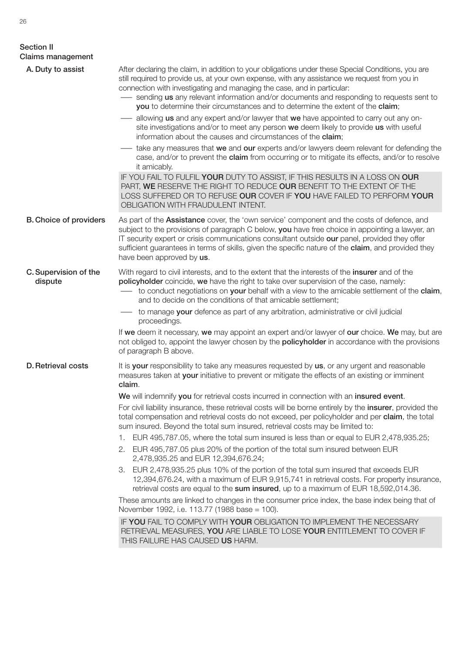| <b>Section II</b><br><b>Claims management</b> |                                                                                                                                                                                                                                                                                                                                                                                                                                                               |
|-----------------------------------------------|---------------------------------------------------------------------------------------------------------------------------------------------------------------------------------------------------------------------------------------------------------------------------------------------------------------------------------------------------------------------------------------------------------------------------------------------------------------|
| A. Duty to assist                             | After declaring the claim, in addition to your obligations under these Special Conditions, you are<br>still required to provide us, at your own expense, with any assistance we request from you in<br>connection with investigating and managing the case, and in particular:<br>- sending us any relevant information and/or documents and responding to requests sent to<br>you to determine their circumstances and to determine the extent of the claim; |
|                                               | allowing us and any expert and/or lawyer that we have appointed to carry out any on-<br>site investigations and/or to meet any person we deem likely to provide us with useful<br>information about the causes and circumstances of the claim;                                                                                                                                                                                                                |
|                                               | take any measures that we and our experts and/or lawyers deem relevant for defending the<br>case, and/or to prevent the claim from occurring or to mitigate its effects, and/or to resolve<br>it amicably.                                                                                                                                                                                                                                                    |
|                                               | IF YOU FAIL TO FULFIL YOUR DUTY TO ASSIST, IF THIS RESULTS IN A LOSS ON OUR<br>PART, WE RESERVE THE RIGHT TO REDUCE OUR BENEFIT TO THE EXTENT OF THE<br>LOSS SUFFERED OR TO REFUSE OUR COVER IF YOU HAVE FAILED TO PERFORM YOUR<br>OBLIGATION WITH FRAUDULENT INTENT.                                                                                                                                                                                         |
| <b>B. Choice of providers</b>                 | As part of the <b>Assistance</b> cover, the 'own service' component and the costs of defence, and<br>subject to the provisions of paragraph C below, you have free choice in appointing a lawyer, an<br>IT security expert or crisis communications consultant outside our panel, provided they offer<br>sufficient guarantees in terms of skills, given the specific nature of the claim, and provided they<br>have been approved by us.                     |
| C. Supervision of the<br>dispute              | With regard to civil interests, and to the extent that the interests of the insurer and of the<br>policyholder coincide, we have the right to take over supervision of the case, namely:<br>- to conduct negotiations on your behalf with a view to the amicable settlement of the claim,<br>and to decide on the conditions of that amicable settlement;                                                                                                     |
|                                               | to manage your defence as part of any arbitration, administrative or civil judicial<br>proceedings.                                                                                                                                                                                                                                                                                                                                                           |
|                                               | If we deem it necessary, we may appoint an expert and/or lawyer of our choice. We may, but are<br>not obliged to, appoint the lawyer chosen by the <b>policyholder</b> in accordance with the provisions<br>of paragraph B above.                                                                                                                                                                                                                             |
| <b>D.</b> Retrieval costs                     | It is your responsibility to take any measures requested by us, or any urgent and reasonable<br>measures taken at your initiative to prevent or mitigate the effects of an existing or imminent<br>claim.                                                                                                                                                                                                                                                     |
|                                               | We will indemnify you for retrieval costs incurred in connection with an insured event.                                                                                                                                                                                                                                                                                                                                                                       |
|                                               | For civil liability insurance, these retrieval costs will be borne entirely by the insurer, provided the<br>total compensation and retrieval costs do not exceed, per policyholder and per claim, the total<br>sum insured. Beyond the total sum insured, retrieval costs may be limited to:                                                                                                                                                                  |
|                                               | EUR 495,787.05, where the total sum insured is less than or equal to EUR 2,478,935.25;<br>1.                                                                                                                                                                                                                                                                                                                                                                  |
|                                               | 2. EUR 495,787.05 plus 20% of the portion of the total sum insured between EUR<br>2,478,935.25 and EUR 12,394,676.24;                                                                                                                                                                                                                                                                                                                                         |
|                                               | 3. EUR 2,478,935.25 plus 10% of the portion of the total sum insured that exceeds EUR<br>12,394,676.24, with a maximum of EUR 9,915,741 in retrieval costs. For property insurance,<br>retrieval costs are equal to the sum insured, up to a maximum of EUR 18,592,014.36.                                                                                                                                                                                    |
|                                               | These amounts are linked to changes in the consumer price index, the base index being that of<br>November 1992, i.e. 113.77 (1988 base = 100).                                                                                                                                                                                                                                                                                                                |
|                                               | IF YOU FAIL TO COMPLY WITH YOUR OBLIGATION TO IMPLEMENT THE NECESSARY<br>RETRIEVAL MEASURES, YOU ARE LIABLE TO LOSE YOUR ENTITLEMENT TO COVER IF<br>THIS FAILURE HAS CAUSED US HARM.                                                                                                                                                                                                                                                                          |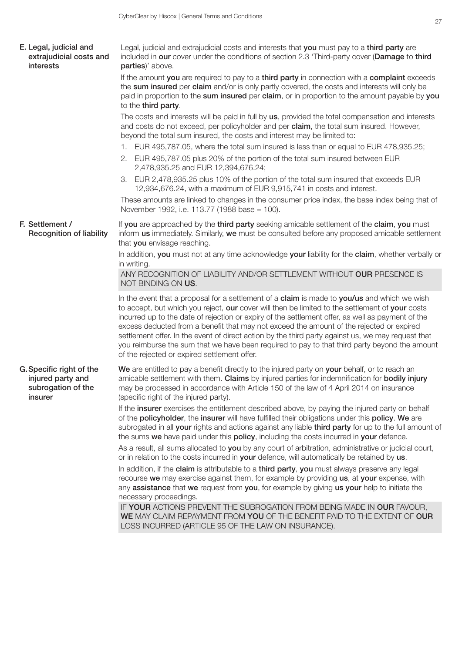| E. Legal, judicial and<br>extrajudicial costs and<br>interests                 | Legal, judicial and extrajudicial costs and interests that you must pay to a third party are<br>included in our cover under the conditions of section 2.3 'Third-party cover (Damage to third<br>parties)' above.                                                                                                                                                                                                                                                                                                                                                                                                                                       |
|--------------------------------------------------------------------------------|---------------------------------------------------------------------------------------------------------------------------------------------------------------------------------------------------------------------------------------------------------------------------------------------------------------------------------------------------------------------------------------------------------------------------------------------------------------------------------------------------------------------------------------------------------------------------------------------------------------------------------------------------------|
|                                                                                | If the amount you are required to pay to a third party in connection with a complaint exceeds<br>the sum insured per claim and/or is only partly covered, the costs and interests will only be<br>paid in proportion to the sum insured per claim, or in proportion to the amount payable by you<br>to the third party.                                                                                                                                                                                                                                                                                                                                 |
|                                                                                | The costs and interests will be paid in full by us, provided the total compensation and interests<br>and costs do not exceed, per policyholder and per claim, the total sum insured. However,<br>beyond the total sum insured, the costs and interest may be limited to:                                                                                                                                                                                                                                                                                                                                                                                |
|                                                                                | 1. EUR 495,787.05, where the total sum insured is less than or equal to EUR 478,935.25;                                                                                                                                                                                                                                                                                                                                                                                                                                                                                                                                                                 |
|                                                                                | 2. EUR 495,787.05 plus 20% of the portion of the total sum insured between EUR<br>2,478,935.25 and EUR 12,394,676.24;                                                                                                                                                                                                                                                                                                                                                                                                                                                                                                                                   |
|                                                                                | 3. EUR 2,478,935.25 plus 10% of the portion of the total sum insured that exceeds EUR<br>12,934,676.24, with a maximum of EUR 9,915,741 in costs and interest.                                                                                                                                                                                                                                                                                                                                                                                                                                                                                          |
|                                                                                | These amounts are linked to changes in the consumer price index, the base index being that of<br>November 1992, i.e. 113.77 (1988 base = 100).                                                                                                                                                                                                                                                                                                                                                                                                                                                                                                          |
| F. Settlement /<br><b>Recognition of liability</b>                             | If you are approached by the third party seeking amicable settlement of the claim, you must<br>inform us immediately. Similarly, we must be consulted before any proposed amicable settlement<br>that you envisage reaching.                                                                                                                                                                                                                                                                                                                                                                                                                            |
|                                                                                | In addition, you must not at any time acknowledge your liability for the claim, whether verbally or<br>in writing.                                                                                                                                                                                                                                                                                                                                                                                                                                                                                                                                      |
|                                                                                | ANY RECOGNITION OF LIABILITY AND/OR SETTLEMENT WITHOUT OUR PRESENCE IS<br>NOT BINDING ON US.                                                                                                                                                                                                                                                                                                                                                                                                                                                                                                                                                            |
|                                                                                | In the event that a proposal for a settlement of a claim is made to you/us and which we wish<br>to accept, but which you reject, our cover will then be limited to the settlement of your costs<br>incurred up to the date of rejection or expiry of the settlement offer, as well as payment of the<br>excess deducted from a benefit that may not exceed the amount of the rejected or expired<br>settlement offer. In the event of direct action by the third party against us, we may request that<br>you reimburse the sum that we have been required to pay to that third party beyond the amount<br>of the rejected or expired settlement offer. |
| G. Specific right of the<br>injured party and<br>subrogation of the<br>insurer | We are entitled to pay a benefit directly to the injured party on your behalf, or to reach an<br>amicable settlement with them. Claims by injured parties for indemnification for bodily injury<br>may be processed in accordance with Article 150 of the law of 4 April 2014 on insurance<br>(specific right of the injured party).                                                                                                                                                                                                                                                                                                                    |
|                                                                                | If the insurer exercises the entitlement described above, by paying the injured party on behalf<br>of the policyholder, the insurer will have fulfilled their obligations under this policy. We are<br>subrogated in all your rights and actions against any liable third party for up to the full amount of<br>the sums we have paid under this policy, including the costs incurred in your defence.                                                                                                                                                                                                                                                  |
|                                                                                | As a result, all sums allocated to you by any court of arbitration, administrative or judicial court,<br>or in relation to the costs incurred in your defence, will automatically be retained by us.                                                                                                                                                                                                                                                                                                                                                                                                                                                    |
|                                                                                | In addition, if the claim is attributable to a third party, you must always preserve any legal<br>recourse we may exercise against them, for example by providing us, at your expense, with<br>any assistance that we request from you, for example by giving us your help to initiate the<br>necessary proceedings.                                                                                                                                                                                                                                                                                                                                    |
|                                                                                | IF YOUR ACTIONS PREVENT THE SUBROGATION FROM BEING MADE IN OUR FAVOUR,<br>WE MAY CLAIM REPAYMENT FROM YOU OF THE BENEFIT PAID TO THE EXTENT OF OUR<br>LOSS INCURRED (ARTICLE 95 OF THE LAW ON INSURANCE).                                                                                                                                                                                                                                                                                                                                                                                                                                               |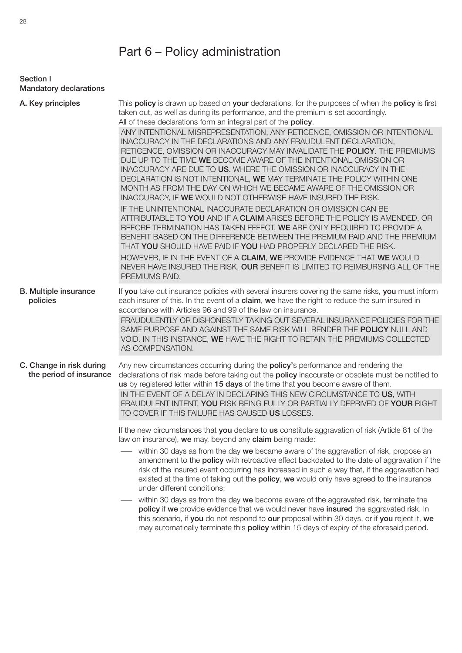# Part 6 – Policy administration

Section I Mandatory declarations

| A. Key principles                                   | This policy is drawn up based on your declarations, for the purposes of when the policy is first<br>taken out, as well as during its performance, and the premium is set accordingly.<br>All of these declarations form an integral part of the policy.                                                                                                                                                                                                                                                                                                                           |
|-----------------------------------------------------|-----------------------------------------------------------------------------------------------------------------------------------------------------------------------------------------------------------------------------------------------------------------------------------------------------------------------------------------------------------------------------------------------------------------------------------------------------------------------------------------------------------------------------------------------------------------------------------|
|                                                     | ANY INTENTIONAL MISREPRESENTATION, ANY RETICENCE, OMISSION OR INTENTIONAL<br>INACCURACY IN THE DECLARATIONS AND ANY FRAUDULENT DECLARATION,<br>RETICENCE, OMISSION OR INACCURACY MAY INVALIDATE THE POLICY. THE PREMIUMS<br>DUE UP TO THE TIME WE BECOME AWARE OF THE INTENTIONAL OMISSION OR<br>INACCURACY ARE DUE TO US. WHERE THE OMISSION OR INACCURACY IN THE<br>DECLARATION IS NOT INTENTIONAL, WE MAY TERMINATE THE POLICY WITHIN ONE<br>MONTH AS FROM THE DAY ON WHICH WE BECAME AWARE OF THE OMISSION OR<br>INACCURACY, IF WE WOULD NOT OTHERWISE HAVE INSURED THE RISK. |
|                                                     | IF THE UNINTENTIONAL INACCURATE DECLARATION OR OMISSION CAN BE<br>ATTRIBUTABLE TO YOU AND IF A CLAIM ARISES BEFORE THE POLICY IS AMENDED, OR<br>BEFORE TERMINATION HAS TAKEN EFFECT, WE ARE ONLY REQUIRED TO PROVIDE A<br>BENEFIT BASED ON THE DIFFERENCE BETWEEN THE PREMIUM PAID AND THE PREMIUM<br>THAT YOU SHOULD HAVE PAID IF YOU HAD PROPERLY DECLARED THE RISK.<br>HOWEVER, IF IN THE EVENT OF A CLAIM, WE PROVIDE EVIDENCE THAT WE WOULD<br>NEVER HAVE INSURED THE RISK, OUR BENEFIT IS LIMITED TO REIMBURSING ALL OF THE<br>PREMIUMS PAID.                               |
| <b>B.</b> Multiple insurance<br>policies            | If you take out insurance policies with several insurers covering the same risks, you must inform<br>each insurer of this. In the event of a claim, we have the right to reduce the sum insured in<br>accordance with Articles 96 and 99 of the law on insurance.<br>FRAUDULENTLY OR DISHONESTLY TAKING OUT SEVERAL INSURANCE POLICIES FOR THE<br>SAME PURPOSE AND AGAINST THE SAME RISK WILL RENDER THE POLICY NULL AND<br>VOID. IN THIS INSTANCE, WE HAVE THE RIGHT TO RETAIN THE PREMIUMS COLLECTED<br>AS COMPENSATION.                                                        |
| C. Change in risk during<br>the period of insurance | Any new circumstances occurring during the policy's performance and rendering the<br>declarations of risk made before taking out the policy inaccurate or obsolete must be notified to<br>us by registered letter within 15 days of the time that you become aware of them.                                                                                                                                                                                                                                                                                                       |
|                                                     | IN THE EVENT OF A DELAY IN DECLARING THIS NEW CIRCUMSTANCE TO US, WITH<br>FRAUDULENT INTENT, YOU RISK BEING FULLY OR PARTIALLY DEPRIVED OF YOUR RIGHT<br>TO COVER IF THIS FAILURE HAS CAUSED US LOSSES.                                                                                                                                                                                                                                                                                                                                                                           |
|                                                     | If the new circumstances that you declare to us constitute aggravation of risk (Article 81 of the<br>law on insurance), we may, beyond any claim being made:                                                                                                                                                                                                                                                                                                                                                                                                                      |
|                                                     | within 30 days as from the day we became aware of the aggravation of risk, propose an<br>amendment to the <b>policy</b> with retroactive effect backdated to the date of aggravation if the<br>risk of the insured event occurring has increased in such a way that, if the aggravation had<br>existed at the time of taking out the policy, we would only have agreed to the insurance<br>under different conditions;                                                                                                                                                            |
|                                                     | within 30 days as from the day we become aware of the aggravated risk, terminate the<br>policy if we provide evidence that we would never have insured the aggravated risk. In<br>this scenario, if you do not respond to our proposal within 30 days, or if you reject it, we<br>may automatically terminate this <b>policy</b> within 15 days of expiry of the aforesaid period.                                                                                                                                                                                                |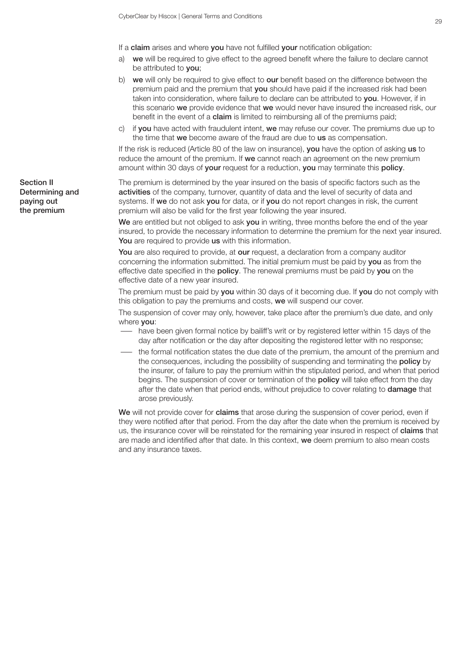If a claim arises and where you have not fulfilled your notification obligation:

- a) we will be required to give effect to the agreed benefit where the failure to declare cannot be attributed to you;
- b) we will only be required to give effect to our benefit based on the difference between the premium paid and the premium that you should have paid if the increased risk had been taken into consideration, where failure to declare can be attributed to you. However, if in this scenario we provide evidence that we would never have insured the increased risk, our benefit in the event of a claim is limited to reimbursing all of the premiums paid;
- c) if you have acted with fraudulent intent, we may refuse our cover. The premiums due up to the time that we become aware of the fraud are due to us as compensation.

If the risk is reduced (Article 80 of the law on insurance), you have the option of asking us to reduce the amount of the premium. If we cannot reach an agreement on the new premium amount within 30 days of **your** request for a reduction, **you** may terminate this **policy**.

The premium is determined by the year insured on the basis of specific factors such as the activities of the company, turnover, quantity of data and the level of security of data and systems. If we do not ask you for data, or if you do not report changes in risk, the current premium will also be valid for the first year following the year insured.

We are entitled but not obliged to ask you in writing, three months before the end of the year insured, to provide the necessary information to determine the premium for the next year insured. You are required to provide us with this information.

You are also required to provide, at our request, a declaration from a company auditor concerning the information submitted. The initial premium must be paid by you as from the effective date specified in the policy. The renewal premiums must be paid by you on the effective date of a new year insured.

The premium must be paid by vou within 30 days of it becoming due. If vou do not comply with this obligation to pay the premiums and costs, we will suspend our cover.

The suspension of cover may only, however, take place after the premium's due date, and only where you:

- have been given formal notice by bailiff's writ or by registered letter within 15 days of the day after notification or the day after depositing the registered letter with no response;
- the formal notification states the due date of the premium, the amount of the premium and the consequences, including the possibility of suspending and terminating the **policy** by the insurer, of failure to pay the premium within the stipulated period, and when that period begins. The suspension of cover or termination of the **policy** will take effect from the day after the date when that period ends, without prejudice to cover relating to **damage** that arose previously.

We will not provide cover for claims that arose during the suspension of cover period, even if they were notified after that period. From the day after the date when the premium is received by us, the insurance cover will be reinstated for the remaining year insured in respect of claims that are made and identified after that date. In this context, we deem premium to also mean costs and any insurance taxes.

Section II Determining and paying out the premium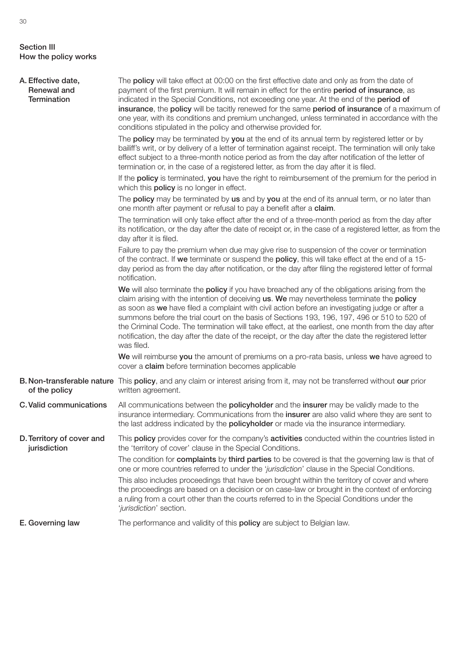#### Section III How the policy works

| A. Effective date,<br>Renewal and<br><b>Termination</b> | The <b>policy</b> will take effect at 00:00 on the first effective date and only as from the date of<br>payment of the first premium. It will remain in effect for the entire period of insurance, as<br>indicated in the Special Conditions, not exceeding one year. At the end of the period of<br>insurance, the policy will be tacitly renewed for the same period of insurance of a maximum of<br>one year, with its conditions and premium unchanged, unless terminated in accordance with the<br>conditions stipulated in the policy and otherwise provided for.                                                    |
|---------------------------------------------------------|----------------------------------------------------------------------------------------------------------------------------------------------------------------------------------------------------------------------------------------------------------------------------------------------------------------------------------------------------------------------------------------------------------------------------------------------------------------------------------------------------------------------------------------------------------------------------------------------------------------------------|
|                                                         | The <b>policy</b> may be terminated by you at the end of its annual term by registered letter or by<br>bailiff's writ, or by delivery of a letter of termination against receipt. The termination will only take<br>effect subject to a three-month notice period as from the day after notification of the letter of<br>termination or, in the case of a registered letter, as from the day after it is filed.                                                                                                                                                                                                            |
|                                                         | If the policy is terminated, you have the right to reimbursement of the premium for the period in<br>which this <b>policy</b> is no longer in effect.                                                                                                                                                                                                                                                                                                                                                                                                                                                                      |
|                                                         | The policy may be terminated by us and by you at the end of its annual term, or no later than<br>one month after payment or refusal to pay a benefit after a claim.                                                                                                                                                                                                                                                                                                                                                                                                                                                        |
|                                                         | The termination will only take effect after the end of a three-month period as from the day after<br>its notification, or the day after the date of receipt or, in the case of a registered letter, as from the<br>day after it is filed.                                                                                                                                                                                                                                                                                                                                                                                  |
|                                                         | Failure to pay the premium when due may give rise to suspension of the cover or termination<br>of the contract. If we terminate or suspend the policy, this will take effect at the end of a 15-<br>day period as from the day after notification, or the day after filing the registered letter of formal<br>notification.                                                                                                                                                                                                                                                                                                |
|                                                         | We will also terminate the policy if you have breached any of the obligations arising from the<br>claim arising with the intention of deceiving us. We may nevertheless terminate the policy<br>as soon as we have filed a complaint with civil action before an investigating judge or after a<br>summons before the trial court on the basis of Sections 193, 196, 197, 496 or 510 to 520 of<br>the Criminal Code. The termination will take effect, at the earliest, one month from the day after<br>notification, the day after the date of the receipt, or the day after the date the registered letter<br>was filed. |
|                                                         | We will reimburse you the amount of premiums on a pro-rata basis, unless we have agreed to<br>cover a claim before termination becomes applicable                                                                                                                                                                                                                                                                                                                                                                                                                                                                          |
| of the policy                                           | B. Non-transferable nature This policy, and any claim or interest arising from it, may not be transferred without our prior<br>written agreement.                                                                                                                                                                                                                                                                                                                                                                                                                                                                          |
| C. Valid communications                                 | All communications between the <b>policyholder</b> and the <b>insurer</b> may be validly made to the<br>insurance intermediary. Communications from the insurer are also valid where they are sent to<br>the last address indicated by the <b>policyholder</b> or made via the insurance intermediary.                                                                                                                                                                                                                                                                                                                     |
| D. Territory of cover and<br>jurisdiction               | This <b>policy</b> provides cover for the company's <b>activities</b> conducted within the countries listed in<br>the 'territory of cover' clause in the Special Conditions.                                                                                                                                                                                                                                                                                                                                                                                                                                               |
|                                                         | The condition for <b>complaints</b> by third parties to be covered is that the governing law is that of<br>one or more countries referred to under the 'jurisdiction' clause in the Special Conditions.                                                                                                                                                                                                                                                                                                                                                                                                                    |
|                                                         | This also includes proceedings that have been brought within the territory of cover and where<br>the proceedings are based on a decision or on case-law or brought in the context of enforcing<br>a ruling from a court other than the courts referred to in the Special Conditions under the<br>'jurisdiction' section.                                                                                                                                                                                                                                                                                                   |
| E. Governing law                                        | The performance and validity of this policy are subject to Belgian law.                                                                                                                                                                                                                                                                                                                                                                                                                                                                                                                                                    |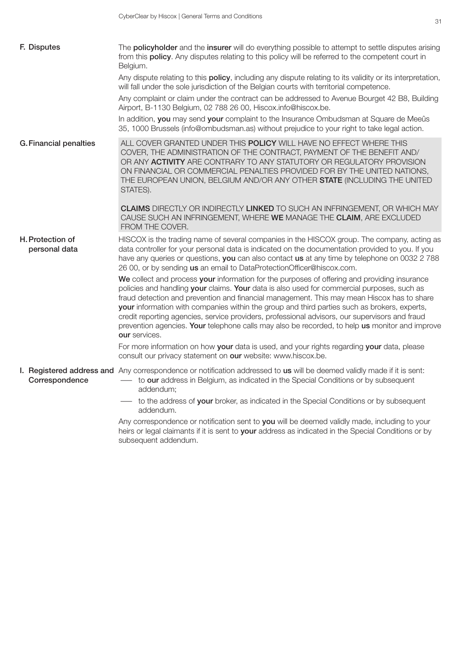| F. Disputes                       | The <b>policyholder</b> and the insurer will do everything possible to attempt to settle disputes arising<br>from this policy. Any disputes relating to this policy will be referred to the competent court in<br>Belgium.                                                                                                                                                                                                                                                                                                                                                                                    |
|-----------------------------------|---------------------------------------------------------------------------------------------------------------------------------------------------------------------------------------------------------------------------------------------------------------------------------------------------------------------------------------------------------------------------------------------------------------------------------------------------------------------------------------------------------------------------------------------------------------------------------------------------------------|
|                                   | Any dispute relating to this <b>policy</b> , including any dispute relating to its validity or its interpretation,<br>will fall under the sole jurisdiction of the Belgian courts with territorial competence.                                                                                                                                                                                                                                                                                                                                                                                                |
|                                   | Any complaint or claim under the contract can be addressed to Avenue Bourget 42 B8, Building<br>Airport, B-1130 Belgium, 02 788 26 00, Hiscox.info@hiscox.be.                                                                                                                                                                                                                                                                                                                                                                                                                                                 |
|                                   | In addition, you may send your complaint to the Insurance Ombudsman at Square de Meeûs<br>35, 1000 Brussels (info@ombudsman.as) without prejudice to your right to take legal action.                                                                                                                                                                                                                                                                                                                                                                                                                         |
| <b>G. Financial penalties</b>     | ALL COVER GRANTED UNDER THIS POLICY WILL HAVE NO EFFECT WHERE THIS<br>COVER, THE ADMINISTRATION OF THE CONTRACT, PAYMENT OF THE BENEFIT AND/<br>OR ANY ACTIVITY ARE CONTRARY TO ANY STATUTORY OR REGULATORY PROVISION<br>ON FINANCIAL OR COMMERCIAL PENALTIES PROVIDED FOR BY THE UNITED NATIONS,<br>THE EUROPEAN UNION, BELGIUM AND/OR ANY OTHER STATE (INCLUDING THE UNITED<br>STATES).                                                                                                                                                                                                                     |
|                                   | <b>CLAIMS</b> DIRECTLY OR INDIRECTLY LINKED TO SUCH AN INFRINGEMENT, OR WHICH MAY<br>CAUSE SUCH AN INFRINGEMENT, WHERE WE MANAGE THE CLAIM, ARE EXCLUDED<br>FROM THE COVER.                                                                                                                                                                                                                                                                                                                                                                                                                                   |
| H. Protection of<br>personal data | HISCOX is the trading name of several companies in the HISCOX group. The company, acting as<br>data controller for your personal data is indicated on the documentation provided to you. If you<br>have any queries or questions, you can also contact us at any time by telephone on 0032 2 788<br>26 00, or by sending us an email to DataProtectionOfficer@hiscox.com.                                                                                                                                                                                                                                     |
|                                   | We collect and process your information for the purposes of offering and providing insurance<br>policies and handling your claims. Your data is also used for commercial purposes, such as<br>fraud detection and prevention and financial management. This may mean Hiscox has to share<br>your information with companies within the group and third parties such as brokers, experts,<br>credit reporting agencies, service providers, professional advisors, our supervisors and fraud<br>prevention agencies. Your telephone calls may also be recorded, to help us monitor and improve<br>our services. |
|                                   | For more information on how your data is used, and your rights regarding your data, please<br>consult our privacy statement on our website: www.hiscox.be.                                                                                                                                                                                                                                                                                                                                                                                                                                                    |
| Correspondence                    | I. Registered address and Any correspondence or notification addressed to us will be deemed validly made if it is sent:<br>to our address in Belgium, as indicated in the Special Conditions or by subsequent<br>addendum;                                                                                                                                                                                                                                                                                                                                                                                    |
|                                   | - to the address of your broker, as indicated in the Special Conditions or by subsequent<br>addendum.                                                                                                                                                                                                                                                                                                                                                                                                                                                                                                         |
|                                   | Any correspondence or notification sent to you will be deemed validly made, including to your<br>heirs or legal claimants if it is sent to your address as indicated in the Special Conditions or by<br>subsequent addendum.                                                                                                                                                                                                                                                                                                                                                                                  |